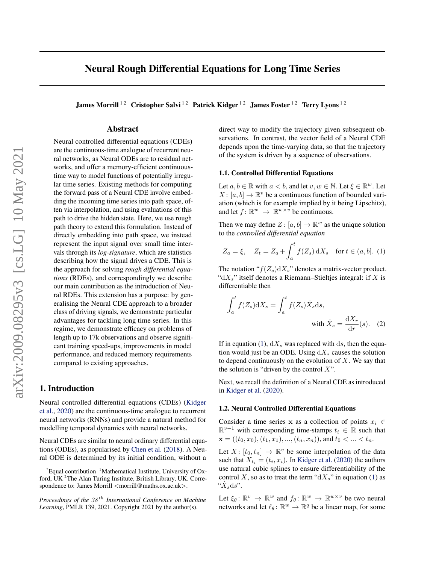## <span id="page-0-0"></span>Neural Rough Differential Equations for Long Time Series

James Morrill<sup>12</sup> Cristopher Salvi<sup>12</sup> Patrick Kidger<sup>12</sup> James Foster<sup>12</sup> Terry Lyons<sup>12</sup>

## Abstract

Neural controlled differential equations (CDEs) are the continuous-time analogue of recurrent neural networks, as Neural ODEs are to residual networks, and offer a memory-efficient continuoustime way to model functions of potentially irregular time series. Existing methods for computing the forward pass of a Neural CDE involve embedding the incoming time series into path space, often via interpolation, and using evaluations of this path to drive the hidden state. Here, we use rough path theory to extend this formulation. Instead of directly embedding into path space, we instead represent the input signal over small time intervals through its *log-signature*, which are statistics describing how the signal drives a CDE. This is the approach for solving *rough differential equations* (RDEs), and correspondingly we describe our main contribution as the introduction of Neural RDEs. This extension has a purpose: by generalising the Neural CDE approach to a broader class of driving signals, we demonstrate particular advantages for tackling long time series. In this regime, we demonstrate efficacy on problems of length up to 17k observations and observe significant training speed-ups, improvements in model performance, and reduced memory requirements compared to existing approaches.

## 1. Introduction

Neural controlled differential equations (CDEs) [\(Kidger](#page-8-0) [et al.,](#page-8-0) [2020\)](#page-8-0) are the continuous-time analogue to recurrent neural networks (RNNs) and provide a natural method for modelling temporal dynamics with neural networks.

Neural CDEs are similar to neural ordinary differential equations (ODEs), as popularised by [Chen et al.](#page-8-0) [\(2018\)](#page-8-0). A Neural ODE is determined by its initial condition, without a

direct way to modify the trajectory given subsequent observations. In contrast, the vector field of a Neural CDE depends upon the time-varying data, so that the trajectory of the system is driven by a sequence of observations.

#### 1.1. Controlled Differential Equations

Let  $a, b \in \mathbb{R}$  with  $a < b$ , and let  $v, w \in \mathbb{N}$ . Let  $\xi \in \mathbb{R}^w$ . Let  $X: [a, b] \to \mathbb{R}^v$  be a continuous function of bounded variation (which is for example implied by it being Lipschitz), and let  $f: \mathbb{R}^w \to \mathbb{R}^{w \times v}$  be continuous.

Then we may define  $Z: [a, b] \to \mathbb{R}^w$  as the unique solution to the *controlled differential equation*

$$
Z_a = \xi, \quad Z_t = Z_a + \int_a^t f(Z_s) \, dX_s \quad \text{for } t \in (a, b]. \tag{1}
$$

The notation " $f(Z_s) dX_s$ " denotes a matrix-vector product. "d $X_s$ " itself denotes a Riemann–Stieltjes integral: if X is differentiable then

$$
\int_{a}^{t} f(Z_s) dX_s = \int_{a}^{t} f(Z_s) \dot{X}_s ds,
$$
  
with  $\dot{X}_s = \frac{dX_r}{dr}(s)$ . (2)

If in equation (1),  $dX_s$  was replaced with ds, then the equation would just be an ODE. Using  $dX_s$  causes the solution to depend continuously on the evolution of  $X$ . We say that the solution is "driven by the control  $X$ ".

Next, we recall the definition of a Neural CDE as introduced in [Kidger et al.](#page-8-0) [\(2020\)](#page-8-0).

#### 1.2. Neural Controlled Differential Equations

Consider a time series x as a collection of points  $x_i \in$  $\mathbb{R}^{v-1}$  with corresponding time-stamps  $t_i \in \mathbb{R}$  such that  $\mathbf{x} = ((t_0, x_0), (t_1, x_1), ..., (t_n, x_n))$ , and  $t_0 < ... < t_n$ .

Let  $X: [t_0, t_n] \to \mathbb{R}^v$  be some interpolation of the data such that  $X_{t_i} = (t_i, x_i)$ . In [Kidger et al.](#page-8-0) [\(2020\)](#page-8-0) the authors use natural cubic splines to ensure differentiability of the control X, so as to treat the term " $dX_s$ " in equation (1) as " $\dot{X}_s$ ds".

Let  $\xi_{\theta} \colon \mathbb{R}^v \to \mathbb{R}^w$  and  $f_{\theta} \colon \mathbb{R}^w \to \mathbb{R}^{w \times v}$  be two neural networks and let  $\ell_{\theta} : \mathbb{R}^w \to \mathbb{R}^q$  be a linear map, for some

 $*$ Equal contribution  $1$ Mathematical Institute, University of Oxford, UK <sup>2</sup>The Alan Turing Institute, British Library, UK. Correspondence to: James Morrill <morrill@maths.ox.ac.uk>.

*Proceedings of the*  $38<sup>th</sup>$  *International Conference on Machine Learning*, PMLR 139, 2021. Copyright 2021 by the author(s).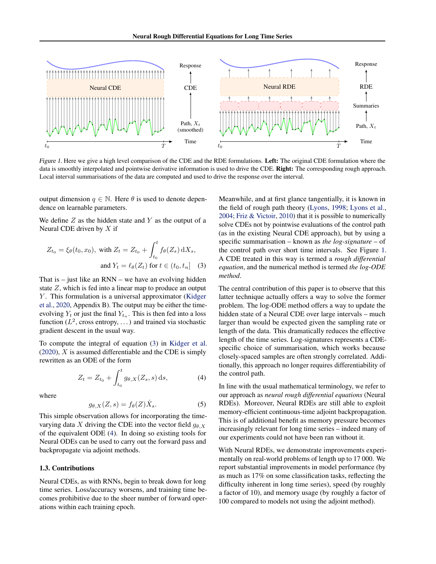<span id="page-1-0"></span>

Figure 1. Here we give a high level comparison of the CDE and the RDE formulations. Left: The original CDE formulation where the data is smoothly interpolated and pointwise derivative information is used to drive the CDE. Right: The corresponding rough approach. Local interval summarisations of the data are computed and used to drive the response over the interval.

output dimension  $q \in \mathbb{N}$ . Here  $\theta$  is used to denote dependence on learnable parameters.

We define  $Z$  as the hidden state and  $Y$  as the output of a Neural CDE driven by  $X$  if

$$
Z_{t_0} = \xi_{\theta}(t_0, x_0), \text{ with } Z_t = Z_{t_0} + \int_{t_0}^t f_{\theta}(Z_s) \, dX_s,
$$
  
and 
$$
Y_t = \ell_{\theta}(Z_t) \text{ for } t \in (t_0, t_n]
$$
 (3)

That is  $-$  just like an RNN  $-$  we have an evolving hidden state Z, which is fed into a linear map to produce an output  $Y$ . This formulation is a universal approximator [\(Kidger](#page-8-0) [et al.,](#page-8-0) [2020,](#page-8-0) Appendix B). The output may be either the timeevolving  $Y_t$  or just the final  $Y_{t_n}$ . This is then fed into a loss function ( $L^2$ , cross entropy, ...) and trained via stochastic gradient descent in the usual way.

To compute the integral of equation (3) in [Kidger et al.](#page-8-0)  $(2020)$ , X is assumed differentiable and the CDE is simply rewritten as an ODE of the form

$$
Z_t = Z_{t_0} + \int_{t_0}^t g_{\theta, X}(Z_s, s) \, ds,\tag{4}
$$

where

$$
g_{\theta,X}(Z,s) = f_{\theta}(Z)\dot{X}_s.
$$
 (5)

This simple observation allows for incorporating the timevarying data X driving the CDE into the vector field  $q_{\theta}$  x of the equivalent ODE (4). In doing so existing tools for Neural ODEs can be used to carry out the forward pass and backpropagate via adjoint methods.

#### 1.3. Contributions

Neural CDEs, as with RNNs, begin to break down for long time series. Loss/accuracy worsens, and training time becomes prohibitive due to the sheer number of forward operations within each training epoch.

Meanwhile, and at first glance tangentially, it is known in the field of rough path theory [\(Lyons,](#page-9-0) [1998;](#page-9-0) [Lyons et al.,](#page-9-0) [2004;](#page-9-0) [Friz & Victoir,](#page-8-0) [2010\)](#page-8-0) that it is possible to numerically solve CDEs not by pointwise evaluations of the control path (as in the existing Neural CDE approach), but by using a specific summarisation – known as *the log-signature* – of the control path over short time intervals. See Figure 1. A CDE treated in this way is termed a *rough differential equation*, and the numerical method is termed *the log-ODE method*.

The central contribution of this paper is to observe that this latter technique actually offers a way to solve the former problem. The log-ODE method offers a way to update the hidden state of a Neural CDE over large intervals – much larger than would be expected given the sampling rate or length of the data. This dramatically reduces the effective length of the time series. Log-signatures represents a CDEspecific choice of summarisation, which works because closely-spaced samples are often strongly correlated. Additionally, this approach no longer requires differentiability of the control path.

In line with the usual mathematical terminology, we refer to our approach as *neural rough differential equations* (Neural RDEs). Moreover, Neural RDEs are still able to exploit memory-efficient continuous-time adjoint backpropagation. This is of additional benefit as memory pressure becomes increasingly relevant for long time series – indeed many of our experiments could not have been ran without it.

With Neural RDEs, we demonstrate improvements experimentally on real-world problems of length up to 17 000. We report substantial improvements in model performance (by as much as 17% on some classification tasks, reflecting the difficulty inherent in long time series), speed (by roughly a factor of 10), and memory usage (by roughly a factor of 100 compared to models not using the adjoint method).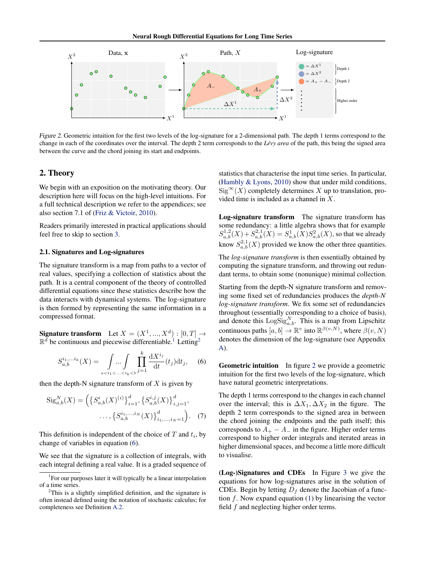<span id="page-2-0"></span>

Figure 2. Geometric intuition for the first two levels of the log-signature for a 2-dimensional path. The depth 1 terms correspond to the change in each of the coordinates over the interval. The depth 2 term corresponds to the *Lévy area* of the path, this being the signed area between the curve and the chord joining its start and endpoints.

#### 2. Theory

We begin with an exposition on the motivating theory. Our description here will focus on the high-level intuitions. For a full technical description we refer to the appendices; see also section 7.1 of [\(Friz & Victoir,](#page-8-0) [2010\)](#page-8-0).

Readers primarily interested in practical applications should feel free to skip to section [3.](#page-3-0)

#### 2.1. Signatures and Log-signatures

The signature transform is a map from paths to a vector of real values, specifying a collection of statistics about the path. It is a central component of the theory of controlled differential equations since these statistics describe how the data interacts with dynamical systems. The log-signature is then formed by representing the same information in a compressed format.

Signature transform Let  $X = (X^1, ..., X^d) : [0, T] \rightarrow$  $\mathbb{R}^d$  be continuous and piecewise differentiable.<sup>1</sup> Letting<sup>2</sup>

$$
S_{a,b}^{i_1,...i_k}(X) = \int_{a < t_1 < ... < t_k < b} \prod_{j=1}^k \frac{\mathrm{d} X^{i_j}}{\mathrm{d} t} (t_j) \mathrm{d} t_j, \quad (6)
$$

then the depth-N signature transform of  $X$  is given by

$$
Sig_{a,b}^{N}(X) = \left( \left\{ S_{a,b}^{i}(X)^{(i)} \right\}_{i=1}^{d}, \left\{ S_{a,b}^{i,j}(X) \right\}_{i,j=1}^{d}, \dots, \left\{ S_{a,b}^{i_{1},...,i_{N}}(X) \right\}_{i_{1},...,i_{N}=1}^{d} \right). \tag{7}
$$

This definition is independent of the choice of  $T$  and  $t_i$ , by change of variables in equation (6).

We see that the signature is a collection of integrals, with each integral defining a real value. It is a graded sequence of statistics that characterise the input time series. In particular, [\(Hambly & Lyons,](#page-8-0) [2010\)](#page-8-0) show that under mild conditions,  $Sig^{\infty}(X)$  completely determines X up to translation, provided time is included as a channel in X.

Log-signature transform The signature transform has some redundancy: a little algebra shows that for example  $S_{a,b}^{1,2}(X) + S_{a,b}^{2,1}(X) = S_{a,b}^{1}(X)S_{a,b}^{2}(X)$ , so that we already know  $S_{a,b}^{2,1}(X)$  provided we know the other three quantities.

The *log-signature transform* is then essentially obtained by computing the signature transform, and throwing out redundant terms, to obtain some (nonunique) minimal collection.

Starting from the depth-N signature transform and removing some fixed set of redundancies produces the *depth-N log-signature transform*. We fix some set of redundancies throughout (essentially corresponding to a choice of basis), and denote this  $\text{LogSig}_{a,b}^N$ . This is a map from Lipschitz continuous paths  $[a, b] \to \mathbb{R}^v$  into  $\mathbb{R}^{\beta(v, N)}$ , where  $\beta(v, N)$ denotes the dimension of the log-signature (see Appendix [A\)](#page-11-0).

Geometric intuition In figure 2 we provide a geometric intuition for the first two levels of the log-signature, which have natural geometric interpretations.

The depth 1 terms correspond to the changes in each channel over the interval; this is  $\Delta X_1, \Delta X_2$  in the figure. The depth 2 term corresponds to the signed area in between the chord joining the endpoints and the path itself; this corresponds to  $A_+ - A_-$  in the figure. Higher order terms correspond to higher order integrals and iterated areas in higher dimensional spaces, and become a little more difficult to visualise.

(Log-)Signatures and CDEs In Figure [3](#page-3-0) we give the equations for how log-signatures arise in the solution of CDEs. Begin by letting  $D_f$  denote the Jacobian of a function  $f$ . Now expand equation [\(1\)](#page-0-0) by linearising the vector field  $f$  and neglecting higher order terms.

<sup>&</sup>lt;sup>1</sup> For our purposes later it will typically be a linear interpolation of a time series.

 $2$ This is a slightly simplified definition, and the signature is often instead defined using the notation of stochastic calculus; for completeness see Definition [A.2.](#page-10-0)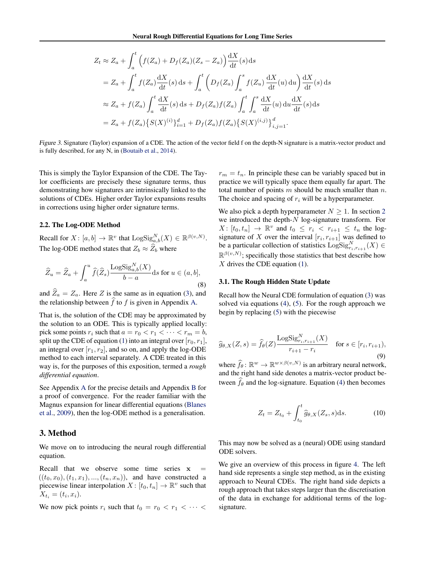<span id="page-3-0"></span>
$$
Z_t \approx Z_a + \int_a^t \left( f(Z_a) + D_f(Z_a)(Z_s - Z_a) \right) \frac{dX}{dt}(s) ds
$$
  
\n
$$
= Z_a + \int_a^t f(Z_a) \frac{dX}{dt}(s) ds + \int_a^t \left( D_f(Z_a) \int_a^s f(Z_u) \frac{dX}{dt}(u) du \right) \frac{dX}{dt}(s) ds
$$
  
\n
$$
\approx Z_a + f(Z_a) \int_a^t \frac{dX}{dt}(s) ds + D_f(Z_a) f(Z_a) \int_a^t \int_a^s \frac{dX}{dt}(u) du \frac{dX}{dt}(s) ds
$$
  
\n
$$
= Z_a + f(Z_a) \{ S(X)^{(i)} \}_{i=1}^d + D_f(Z_a) f(Z_a) \{ S(X)^{(i,j)} \}_{i,j=1}^d.
$$

Figure 3. Signature (Taylor) expansion of a CDE. The action of the vector field f on the depth-N signature is a matrix-vector product and is fully described, for any N, in [\(Boutaib et al.,](#page-8-0) [2014\)](#page-8-0).

This is simply the Taylor Expansion of the CDE. The Taylor coefficients are precisely these signature terms, thus demonstrating how signatures are intrinsically linked to the solutions of CDEs. Higher order Taylor expansions results in corrections using higher order signature terms.

#### 2.2. The Log-ODE Method

Recall for  $X \colon [a, b] \to \mathbb{R}^v$  that  $\text{LogSig}_{a, b}^N(X) \in \mathbb{R}^{\beta(v, N)}$ . The log-ODE method states that  $Z_b \approx \hat{Z}_b$  where

$$
\widehat{Z}_u = \widehat{Z}_a + \int_a^u \widehat{f}(\widehat{Z}_s) \frac{\text{LogSig}_{a,b}^N(X)}{b-a} \text{d}s \text{ for } u \in (a,b],\tag{8}
$$

and  $\hat{Z}_a = Z_a$ . Here Z is the same as in equation [\(3\)](#page-1-0), and the relationship between  $\hat{f}$  to f is given in Appendix [A.](#page-10-0)

That is, the solution of the CDE may be approximated by the solution to an ODE. This is typically applied locally: pick some points  $r_i$  such that  $a = r_0 < r_1 < \cdots < r_m = b$ , split up the CDE of equation [\(1\)](#page-0-0) into an integral over  $[r_0, r_1]$ , an integral over  $[r_1, r_2]$ , and so on, and apply the log-ODE method to each interval separately. A CDE treated in this way is, for the purposes of this exposition, termed a *rough differential equation*.

See Appendix [A](#page-10-0) for the precise details and Appendix [B](#page-13-0) for a proof of convergence. For the reader familiar with the Magnus expansion for linear differential equations [\(Blanes](#page-8-0) [et al.,](#page-8-0) [2009\)](#page-8-0), then the log-ODE method is a generalisation.

#### 3. Method

We move on to introducing the neural rough differential equation.

Recall that we observe some time series  $x$  $((t_0, x_0), (t_1, x_1), ..., (t_n, x_n)),$  and have constructed a piecewise linear interpolation  $X \colon [t_0, t_n] \to \mathbb{R}^v$  such that  $X_{t_i} = (t_i, x_i).$ 

We now pick points  $r_i$  such that  $t_0 = r_0 < r_1 < \cdots <$ 

 $r_m = t_n$ . In principle these can be variably spaced but in practice we will typically space them equally far apart. The total number of points  $m$  should be much smaller than  $n$ . The choice and spacing of  $r_i$  will be a hyperparameter.

We also pick a depth hyperparameter  $N \geq 1$ . In section [2](#page-2-0) we introduced the depth-N log-signature transform. For  $X: [t_0, t_n] \rightarrow \mathbb{R}^v$  and  $t_0 \leq r_i < r_{i+1} \leq t_n$  the logsignature of X over the interval  $[r_i, r_{i+1}]$  was defined to be a particular collection of statistics  $\text{LogSig}_{r_i,r_{i+1}}^N(X) \in$  $\mathbb{R}^{\beta(v,N)}$ ; specifically those statistics that best describe how  $X$  drives the CDE equation [\(1\)](#page-0-0).

#### 3.1. The Rough Hidden State Update

Recall how the Neural CDE formulation of equation [\(3\)](#page-1-0) was solved via equations [\(4\)](#page-1-0), [\(5\)](#page-1-0). For the rough approach we begin by replacing [\(5\)](#page-1-0) with the piecewise

$$
\widehat{g}_{\theta,X}(Z,s) = \widehat{f}_{\theta}(Z) \frac{\text{LogSig}_{r_i,r_{i+1}}^N(X)}{r_{i+1} - r_i} \quad \text{for } s \in [r_i, r_{i+1}),
$$
\n(9)

where  $\hat{f}_{\theta}$ :  $\mathbb{R}^w \to \mathbb{R}^{w \times \beta(v,N)}$  is an arbitrary neural network, and the right hand side denotes a matrix-vector product between  $\widehat{f}_{\theta}$  and the log-signature. Equation [\(4\)](#page-1-0) then becomes

$$
Z_t = Z_{t_0} + \int_{t_0}^t \widehat{g}_{\theta,X}(Z_s, s)ds.
$$
 (10)

This may now be solved as a (neural) ODE using standard ODE solvers.

We give an overview of this process in figure [4.](#page-4-0) The left hand side represents a single step method, as in the existing approach to Neural CDEs. The right hand side depicts a rough approach that takes steps larger than the discretisation of the data in exchange for additional terms of the logsignature.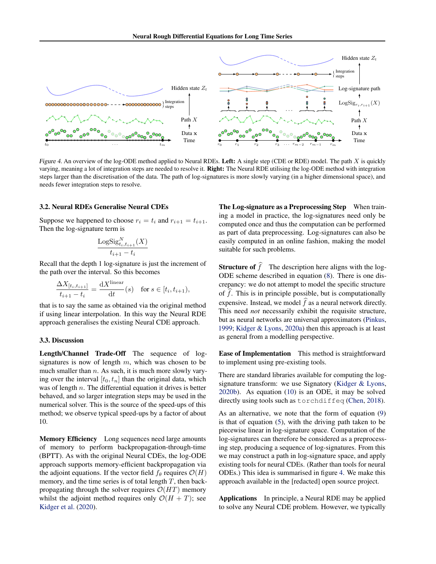<span id="page-4-0"></span>

Figure 4. An overview of the log-ODE method applied to Neural RDEs. Left: A single step (CDE or RDE) model. The path X is quickly varying, meaning a lot of integration steps are needed to resolve it. Right: The Neural RDE utilising the log-ODE method with integration steps larger than the discretisation of the data. The path of log-signatures is more slowly varying (in a higher dimensional space), and needs fewer integration steps to resolve.

#### 3.2. Neural RDEs Generalise Neural CDEs

Suppose we happened to choose  $r_i = t_i$  and  $r_{i+1} = t_{i+1}$ . Then the log-signature term is

$$
\frac{\text{LogSig}_{t_i, t_{i+1}}^N(X)}{t_{i+1} - t_i}
$$

Recall that the depth 1 log-signature is just the increment of the path over the interval. So this becomes

$$
\frac{\Delta X_{[t_i, t_{i+1}]} }{t_{i+1} - t_i} = \frac{\mathrm{d}X^{\text{linear}}}{\mathrm{d}t}(s) \quad \text{for } s \in [t_i, t_{i+1}),
$$

that is to say the same as obtained via the original method if using linear interpolation. In this way the Neural RDE approach generalises the existing Neural CDE approach.

#### 3.3. Discussion

Length/Channel Trade-Off The sequence of logsignatures is now of length  $m$ , which was chosen to be much smaller than  $n$ . As such, it is much more slowly varying over the interval  $[t_0, t_n]$  than the original data, which was of length  $n$ . The differential equation it drives is better behaved, and so larger integration steps may be used in the numerical solver. This is the source of the speed-ups of this method; we observe typical speed-ups by a factor of about 10.

Memory Efficiency Long sequences need large amounts of memory to perform backpropagation-through-time (BPTT). As with the original Neural CDEs, the log-ODE approach supports memory-efficient backpropagation via the adjoint equations. If the vector field  $f_\theta$  requires  $\mathcal{O}(H)$ memory, and the time series is of total length  $T$ , then backpropagating through the solver requires  $\mathcal{O}(HT)$  memory whilst the adjoint method requires only  $\mathcal{O}(H + T)$ ; see [Kidger et al.](#page-8-0) [\(2020\)](#page-8-0).

The Log-signature as a Preprocessing Step When training a model in practice, the log-signatures need only be computed once and thus the computation can be performed as part of data preprocessing. Log-signatures can also be easily computed in an online fashion, making the model suitable for such problems.

**Structure of**  $\hat{f}$  The description here aligns with the log-ODE scheme described in equation [\(8\)](#page-3-0). There is one discrepancy: we do not attempt to model the specific structure of  $\hat{f}$ . This is in principle possible, but is computationally expensive. Instead, we model  $\hat{f}$  as a neural network directly. This need *not* necessarily exhibit the requisite structure, but as neural networks are universal approximators [\(Pinkus,](#page-9-0) [1999;](#page-9-0) [Kidger & Lyons,](#page-8-0) [2020a\)](#page-8-0) then this approach is at least as general from a modelling perspective.

Ease of Implementation This method is straightforward to implement using pre-existing tools.

There are standard libraries available for computing the logsignature transform: we use Signatory [\(Kidger & Lyons,](#page-8-0) [2020b\)](#page-8-0). As equation [\(10\)](#page-3-0) is an ODE, it may be solved directly using tools such as torchdiffeq [\(Chen,](#page-8-0) [2018\)](#page-8-0).

As an alternative, we note that the form of equation [\(9\)](#page-3-0) is that of equation [\(5\)](#page-1-0), with the driving path taken to be piecewise linear in log-signature space. Computation of the log-signatures can therefore be considered as a preprocessing step, producing a sequence of log-signatures. From this we may construct a path in log-signature space, and apply existing tools for neural CDEs. (Rather than tools for neural ODEs.) This idea is summarised in figure 4. We make this approach available in the [redacted] open source project.

Applications In principle, a Neural RDE may be applied to solve any Neural CDE problem. However, we typically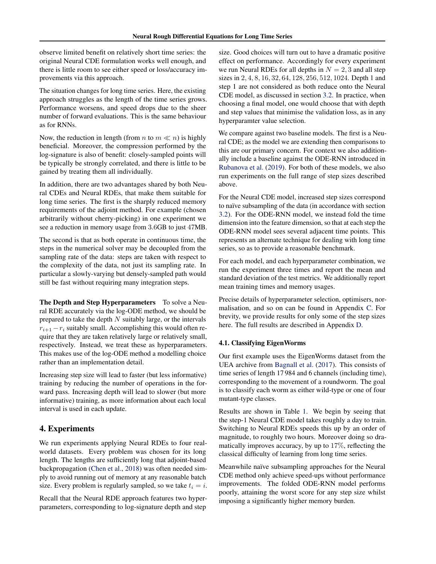observe limited benefit on relatively short time series: the original Neural CDE formulation works well enough, and there is little room to see either speed or loss/accuracy improvements via this approach.

The situation changes for long time series. Here, the existing approach struggles as the length of the time series grows. Performance worsens, and speed drops due to the sheer number of forward evaluations. This is the same behaviour as for RNNs.

Now, the reduction in length (from *n* to  $m \ll n$ ) is highly beneficial. Moreover, the compression performed by the log-signature is also of benefit: closely-sampled points will be typically be strongly correlated, and there is little to be gained by treating them all individually.

In addition, there are two advantages shared by both Neural CDEs and Neural RDEs, that make them suitable for long time series. The first is the sharply reduced memory requirements of the adjoint method. For example (chosen arbitrarily without cherry-picking) in one experiment we see a reduction in memory usage from 3.6GB to just 47MB.

The second is that as both operate in continuous time, the steps in the numerical solver may be decoupled from the sampling rate of the data: steps are taken with respect to the complexity of the data, not just its sampling rate. In particular a slowly-varying but densely-sampled path would still be fast without requiring many integration steps.

The Depth and Step Hyperparameters To solve a Neural RDE accurately via the log-ODE method, we should be prepared to take the depth  $N$  suitably large, or the intervals  $r_{i+1} - r_i$  suitably small. Accomplishing this would often require that they are taken relatively large or relatively small, respectively. Instead, we treat these as hyperparameters. This makes use of the log-ODE method a modelling choice rather than an implementation detail.

Increasing step size will lead to faster (but less informative) training by reducing the number of operations in the forward pass. Increasing depth will lead to slower (but more informative) training, as more information about each local interval is used in each update.

## 4. Experiments

We run experiments applying Neural RDEs to four realworld datasets. Every problem was chosen for its long length. The lengths are sufficiently long that adjoint-based backpropagation [\(Chen et al.,](#page-8-0) [2018\)](#page-8-0) was often needed simply to avoid running out of memory at any reasonable batch size. Every problem is regularly sampled, so we take  $t_i = i$ .

Recall that the Neural RDE approach features two hyperparameters, corresponding to log-signature depth and step size. Good choices will turn out to have a dramatic positive effect on performance. Accordingly for every experiment we run Neural RDEs for all depths in  $N = 2, 3$  and all step sizes in 2, 4, 8, 16, 32, 64, 128, 256, 512, 1024. Depth 1 and step 1 are not considered as both reduce onto the Neural CDE model, as discussed in section [3.2.](#page-4-0) In practice, when choosing a final model, one would choose that with depth and step values that minimise the validation loss, as in any hyperparamter value selection.

We compare against two baseline models. The first is a Neural CDE; as the model we are extending then comparisons to this are our primary concern. For context we also additionally include a baseline against the ODE-RNN introduced in [Rubanova et al.](#page-9-0) [\(2019\)](#page-9-0). For both of these models, we also run experiments on the full range of step sizes described above.

For the Neural CDE model, increased step sizes correspond to naïve subsampling of the data (in accordance with section [3.2\)](#page-4-0). For the ODE-RNN model, we instead fold the time dimension into the feature dimension, so that at each step the ODE-RNN model sees several adjacent time points. This represents an alternate technique for dealing with long time series, so as to provide a reasonable benchmark.

For each model, and each hyperparameter combination, we run the experiment three times and report the mean and standard deviation of the test metrics. We additionally report mean training times and memory usages.

Precise details of hyperparameter selection, optimisers, normalisation, and so on can be found in Appendix [C.](#page-16-0) For brevity, we provide results for only some of the step sizes here. The full results are described in Appendix [D.](#page-17-0)

#### 4.1. Classifying EigenWorms

Our first example uses the EigenWorms dataset from the UEA archive from [Bagnall et al.](#page-8-0) [\(2017\)](#page-8-0). This consists of time series of length 17 984 and 6 channels (including time), corresponding to the movement of a roundworm. The goal is to classify each worm as either wild-type or one of four mutant-type classes.

Results are shown in Table [1.](#page-6-0) We begin by seeing that the step-1 Neural CDE model takes roughly a day to train. Switching to Neural RDEs speeds this up by an order of magnitude, to roughly two hours. Moreover doing so dramatically improves accuracy, by up to 17%, reflecting the classical difficulty of learning from long time series.

Meanwhile naïve subsampling approaches for the Neural CDE method only achieve speed-ups without performance improvements. The folded ODE-RNN model performs poorly, attaining the worst score for any step size whilst imposing a significantly higher memory burden.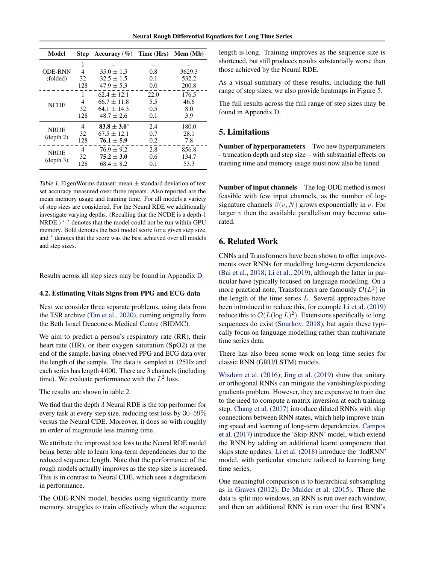<span id="page-6-0"></span>

| Model                    | <b>Step</b> | Accuracy $(\% )$ | Time (Hrs) | Mem (Mb) |
|--------------------------|-------------|------------------|------------|----------|
|                          | 1           |                  |            |          |
| <b>ODE-RNN</b>           | 4           | $35.0 \pm 1.5$   | 0.8        | 3629.3   |
| (folded)                 | 32          | $32.5 + 1.5$     | 0.1        | 532.2    |
|                          | 128         | $47.9 + 5.3$     | 0.0        | 200.8    |
|                          | 1           | $62.4 \pm 12.1$  | 22.0       | 176.5    |
| <b>NCDE</b>              | 4           | $66.7 + 11.8$    | 5.5        | 46.6     |
|                          | 32          | $64.1 + 14.3$    | 0.5        | 8.0      |
|                          | 128         | $48.7 + 2.6$     | 0.1        | 3.9      |
| <b>NRDE</b>              | 4           | $83.8 \pm 3.0^*$ | 2.4        | 180.0    |
|                          | 32          | $67.5 + 12.1$    | 0.7        | 28.1     |
| (depth 2)                | 128         | $76.1 \pm 5.9$   | 0.2        | 7.8      |
| <b>NRDE</b><br>(depth 3) | 4           | $76.9 \pm 9.2$   | 2.8        | 856.8    |
|                          | 32          | $75.2 + 3.0$     | 0.6        | 134.7    |
|                          | 128         | $68.4 + 8.2$     | 0.1        | 53.3     |

Table 1. EigenWorms dataset: mean  $\pm$  standard deviation of test set accuracy measured over three repeats. Also reported are the mean memory usage and training time. For all models a variety of step sizes are considered. For the Neural RDE we additionally investigate varying depths. (Recalling that the NCDE is a depth-1 NRDE.) '–' denotes that the model could not be run within GPU memory. Bold denotes the best model score for a given step size, and <sup>∗</sup> denotes that the score was the best achieved over all models and step sizes.

Results across all step sizes may be found in Appendix [D.](#page-17-0)

## 4.2. Estimating Vitals Signs from PPG and ECG data

Next we consider three separate problems, using data from the TSR archive [\(Tan et al.,](#page-9-0) [2020\)](#page-9-0), coming originally from the Beth Israel Deaconess Medical Centre (BIDMC).

We aim to predict a person's respiratory rate (RR), their heart rate (HR), or their oxygen saturation (SpO2) at the end of the sample, having observed PPG and ECG data over the length of the sample. The data is sampled at 125Hz and each series has length 4 000. There are 3 channels (including time). We evaluate performance with the  $L^2$  loss.

The results are shown in table [2.](#page-7-0)

We find that the depth 3 Neural RDE is the top performer for every task at every step size, reducing test loss by 30–59% versus the Neural CDE. Moreover, it does so with roughly an order of magnitude less training time.

We attribute the improved test loss to the Neural RDE model being better able to learn long-term dependencies due to the reduced sequence length. Note that the performance of the rough models actually improves as the step size is increased. This is in contrast to Neural CDE, which sees a degradation in performance.

The ODE-RNN model, besides using significantly more memory, struggles to train effectively when the sequence length is long. Training improves as the sequence size is shortened, but still produces results substantially worse than those achieved by the Neural RDE.

As a visual summary of these results, including the full range of step sizes, we also provide heatmaps in Figure [5.](#page-7-0)

The full results across the full range of step sizes may be found in Appendix [D.](#page-17-0)

#### 5. Limitations

Number of hyperparameters Two new hyperparameters – truncation depth and step size – with substantial effects on training time and memory usage must now also be tuned.

Number of input channels The log-ODE method is most feasible with few input channels, as the number of logsignature channels  $\beta(v, N)$  grows exponentially in v. For larger  $v$  then the available parallelism may become saturated.

## 6. Related Work

CNNs and Transformers have been shown to offer improvements over RNNs for modelling long-term dependencies [\(Bai et al.,](#page-8-0) [2018;](#page-8-0) [Li et al.,](#page-8-0) [2019\)](#page-8-0), although the latter in particular have typically focused on language modelling. On a more practical note, Transformers are famously  $\mathcal{O}(L^2)$  in the length of the time series  $L$ . Several approaches have been introduced to reduce this, for example [Li et al.](#page-8-0) [\(2019\)](#page-8-0) reduce this to  $\mathcal{O}(L(\log L)^2)$ . Extensions specifically to long sequences do exist [\(Sourkov,](#page-9-0) [2018\)](#page-9-0), but again these typically focus on language modelling rather than multivariate time series data.

There has also been some work on long time series for classic RNN (GRU/LSTM) models.

[Wisdom et al.](#page-9-0) [\(2016\)](#page-9-0); [Jing et al.](#page-8-0) [\(2019\)](#page-8-0) show that unitary or orthogonal RNNs can mitigate the vanishing/exploding gradients problem. However, they are expensive to train due to the need to compute a matrix inversion at each training step. [Chang et al.](#page-8-0) [\(2017\)](#page-8-0) introduce dilated RNNs with skip connections between RNN states, which help improve training speed and learning of long-term dependencies. [Campos](#page-8-0) [et al.](#page-8-0) [\(2017\)](#page-8-0) introduce the 'Skip-RNN' model, which extend the RNN by adding an additional learnt component that skips state updates. [Li et al.](#page-8-0) [\(2018\)](#page-8-0) introduce the 'IndRNN' model, with particular structure tailored to learning long time series.

One meaningful comparison is to hierarchical subsampling as in [Graves](#page-8-0) [\(2012\)](#page-8-0); [De Mulder et al.](#page-8-0) [\(2015\)](#page-8-0). There the data is split into windows, an RNN is run over each window, and then an additional RNN is run over the first RNN's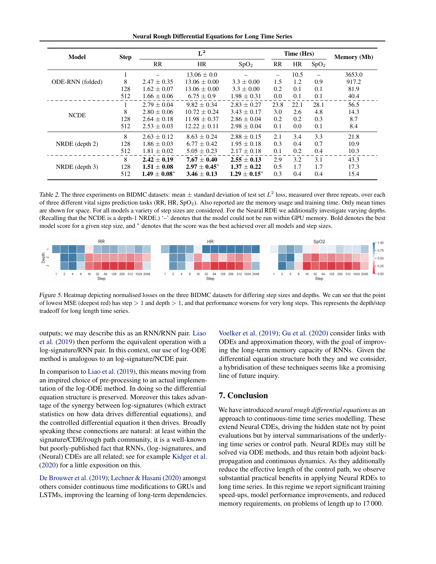Neural Rough Differential Equations for Long Time Series

<span id="page-7-0"></span>

| Model            | <b>Step</b> | $L^2$           |                   |                     | Time (Hrs) |      |                  | <b>Memory</b> (Mb) |
|------------------|-------------|-----------------|-------------------|---------------------|------------|------|------------------|--------------------|
|                  |             | RR              | <b>HR</b>         | SpO <sub>2</sub>    | <b>RR</b>  | HR   | SpO <sub>2</sub> |                    |
|                  | 1           |                 | $13.06 + 0.0$     |                     | -          | 10.5 |                  | 3653.0             |
| ODE-RNN (folded) | 8           | $2.47 \pm 0.35$ | $13.06 + 0.00$    | $3.3 \pm 0.00$      | 1.5        | 1.2  | 0.9              | 917.2              |
|                  | 128         | $1.62 \pm 0.07$ | $13.06 + 0.00$    | $3.3 + 0.00$        | 0.2        | 0.1  | 0.1              | 81.9               |
|                  | 512         | $1.66 \pm 0.06$ | $6.75 \pm 0.9$    | $1.98 \pm 0.31$     | 0.0        | 0.1  | 0.1              | 40.4               |
|                  |             | $2.79 + 0.04$   | $9.82 + 0.34$     | $2.83 \pm 0.27$     | 23.8       | 22.1 | 28.1             | 56.5               |
| <b>NCDE</b>      | 8           | $2.80 + 0.06$   | $10.72 + 0.24$    | $3.43 \pm 0.17$     | 3.0        | 2.6  | 4.8              | 14.3               |
|                  | 128         | $2.64 + 0.18$   | $11.98 + 0.37$    | $2.86 + 0.04$       | 0.2        | 0.2  | 0.3              | 8.7                |
|                  | 512         | $2.53 \pm 0.03$ | $12.22 + 0.11$    | $2.98 + 0.04$       | 0.1        | 0.0  | 0.1              | 8.4                |
|                  | 8           | $2.63 + 0.12$   | $8.63 + 0.24$     | $2.88 + 0.15$       | 2.1        | 3.4  | 3.3              | 21.8               |
| $NRDE$ (depth 2) | 128         | $1.86 + 0.03$   | $6.77 + 0.42$     | $1.95 + 0.18$       | 0.3        | 0.4  | 0.7              | 10.9               |
|                  | 512         | $1.81 \pm 0.02$ | $5.05 \pm 0.23$   | $2.17 \pm 0.18$     | 0.1        | 0.2  | 0.4              | 10.3               |
|                  | 8           | $2.42 + 0.19$   | $7.67 + 0.40$     | $2.55 + 0.13$       | 2.9        | 3.2  | 3.1              | 43.3               |
| $NRDE$ (depth 3) | 128         | $1.51 + 0.08$   | $2.97 \pm 0.45^*$ | $1.37 + 0.22$       | 0.5        | 1.7  | 1.7              | 17.3               |
|                  | 512         | $1.49 + 0.08^*$ | $3.46 \pm 0.13$   | $1.29 \pm 0.15^{*}$ | 0.3        | 0.4  | 0.4              | 15.4               |

Table 2. The three experiments on BIDMC datasets: mean  $\pm$  standard deviation of test set  $L^2$  loss, measured over three repeats, over each of three different vital signs prediction tasks (RR, HR, SpO2). Also reported are the memory usage and training time. Only mean times are shown for space. For all models a variety of step sizes are considered. For the Neural RDE we additionally investigate varying depths. (Recalling that the NCDE is a depth-1 NRDE.) '–' denotes that the model could not be run within GPU memory. Bold denotes the best model score for a given step size, and <sup>∗</sup> denotes that the score was the best achieved over all models and step sizes.



Figure 5. Heatmap depicting normalised losses on the three BIDMC datasets for differing step sizes and depths. We can see that the point of lowest MSE (deepest red) has step  $> 1$  and depth  $> 1$ , and that performance worsens for very long steps. This represents the depth/step tradeoff for long length time series.

outputs; we may describe this as an RNN/RNN pair. [Liao](#page-8-0) [et al.](#page-8-0) [\(2019\)](#page-8-0) then perform the equivalent operation with a log-signature/RNN pair. In this context, our use of log-ODE method is analogous to an log-signature/NCDE pair.

In comparison to [Liao et al.](#page-8-0) [\(2019\)](#page-8-0), this means moving from an inspired choice of pre-processing to an actual implementation of the log-ODE method. In doing so the differential equation structure is preserved. Moreover this takes advantage of the synergy between log-signatures (which extract statistics on how data drives differential equations), and the controlled differential equation it then drives. Broadly speaking these connections are natural: at least within the signature/CDE/rough path community, it is a well-known but poorly-published fact that RNNs, (log-)signatures, and (Neural) CDEs are all related; see for example [Kidger et al.](#page-8-0) [\(2020\)](#page-8-0) for a little exposition on this.

[De Brouwer et al.](#page-8-0) [\(2019\)](#page-8-0); [Lechner & Hasani](#page-8-0) [\(2020\)](#page-8-0) amongst others consider continuous time modifications to GRUs and LSTMs, improving the learning of long-term dependencies. [Voelker et al.](#page-9-0) [\(2019\)](#page-9-0); [Gu et al.](#page-8-0) [\(2020\)](#page-8-0) consider links with ODEs and approximation theory, with the goal of improving the long-term memory capacity of RNNs. Given the differential equation structure both they and we consider, a hybridisation of these techniques seems like a promising line of future inquiry.

## 7. Conclusion

We have introduced *neural rough differential equations* as an approach to continuous-time time series modelling. These extend Neural CDEs, driving the hidden state not by point evaluations but by interval summarisations of the underlying time series or control path. Neural RDEs may still be solved via ODE methods, and thus retain both adjoint backpropagation and continuous dynamics. As they additionally reduce the effective length of the control path, we observe substantial practical benefits in applying Neural RDEs to long time series. In this regime we report significant training speed-ups, model performance improvements, and reduced memory requirements, on problems of length up to 17 000.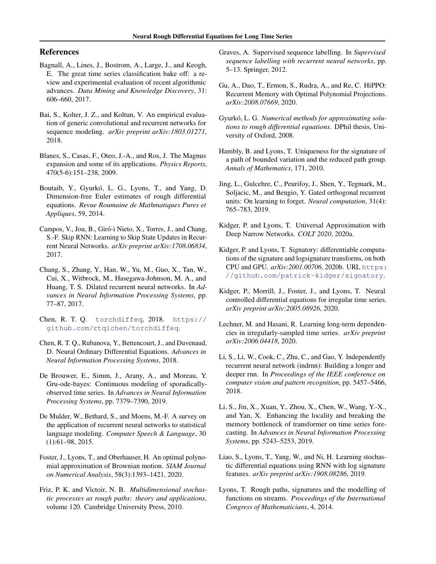### <span id="page-8-0"></span>References

- Bagnall, A., Lines, J., Bostrom, A., Large, J., and Keogh, E. The great time series classification bake off: a review and experimental evaluation of recent algorithmic advances. *Data Mining and Knowledge Discovery*, 31: 606–660, 2017.
- Bai, S., Kolter, J. Z., and Koltun, V. An empirical evaluation of generic convolutional and recurrent networks for sequence modeling. *arXiv preprint arXiv:1803.01271*, 2018.
- Blanes, S., Casas, F., Oteo, J.-A., and Ros, J. The Magnus expansion and some of its applications. *Physics Reports*, 470(5-6):151–238, 2009.
- Boutaib, Y., Gyurkó, L. G., Lyons, T., and Yang, D. Dimension-free Euler estimates of rough differential equations. *Revue Roumaine de Mathmatiques Pures et Appliques*, 59, 2014.
- Campos, V., Jou, B., Giró-i Nieto, X., Torres, J., and Chang, S.-F. Skip RNN: Learning to Skip State Updates in Recurrent Neural Networks. *arXiv preprint arXiv:1708.06834*, 2017.
- Chang, S., Zhang, Y., Han, W., Yu, M., Guo, X., Tan, W., Cui, X., Witbrock, M., Hasegawa-Johnson, M. A., and Huang, T. S. Dilated recurrent neural networks. In *Advances in Neural Information Processing Systems*, pp. 77–87, 2017.
- Chen, R. T. Q. torchdiffeq, 2018. [https://](https://github.com/rtqichen/torchdiffeq) [github.com/rtqichen/torchdiffeq](https://github.com/rtqichen/torchdiffeq).
- Chen, R. T. Q., Rubanova, Y., Bettencourt, J., and Duvenaud, D. Neural Ordinary Differential Equations. *Advances in Neural Information Processing Systems*, 2018.
- De Brouwer, E., Simm, J., Arany, A., and Moreau, Y. Gru-ode-bayes: Continuous modeling of sporadicallyobserved time series. In *Advances in Neural Information Processing Systems*, pp. 7379–7390, 2019.
- De Mulder, W., Bethard, S., and Moens, M.-F. A survey on the application of recurrent neural networks to statistical language modeling. *Computer Speech & Language*, 30 (1):61–98, 2015.
- Foster, J., Lyons, T., and Oberhauser, H. An optimal polynomial approximation of Brownian motion. *SIAM Journal on Numerical Analysis*, 58(3):1393–1421, 2020.
- Friz, P. K. and Victoir, N. B. *Multidimensional stochastic processes as rough paths: theory and applications*, volume 120. Cambridge University Press, 2010.
- Graves, A. Supervised sequence labelling. In *Supervised sequence labelling with recurrent neural networks*, pp. 5–13. Springer, 2012.
- Gu, A., Dao, T., Ermon, S., Rudra, A., and Re, C. HiPPO: Recurrent Memory with Optimal Polynomial Projections. *arXiv:2008.07669*, 2020.
- Gyurkó, L. G. Numerical methods for approximating solu*tions to rough differential equations*. DPhil thesis, University of Oxford, 2008.
- Hambly, B. and Lyons, T. Uniqueness for the signature of a path of bounded variation and the reduced path group. *Annals of Mathematics*, 171, 2010.
- Jing, L., Gulcehre, C., Peurifoy, J., Shen, Y., Tegmark, M., Soljacic, M., and Bengio, Y. Gated orthogonal recurrent units: On learning to forget. *Neural computation*, 31(4): 765–783, 2019.
- Kidger, P. and Lyons, T. Universal Approximation with Deep Narrow Networks. *COLT 2020*, 2020a.
- Kidger, P. and Lyons, T. Signatory: differentiable computations of the signature and logsignature transforms, on both CPU and GPU. *arXiv:2001.00706*, 2020b. URL [https:](https://github.com/patrick-kidger/signatory) [//github.com/patrick-kidger/signatory](https://github.com/patrick-kidger/signatory).
- Kidger, P., Morrill, J., Foster, J., and Lyons, T. Neural controlled differential equations for irregular time series. *arXiv preprint arXiv:2005.08926*, 2020.
- Lechner, M. and Hasani, R. Learning long-term dependencies in irregularly-sampled time series. *arXiv preprint arXiv:2006.04418*, 2020.
- Li, S., Li, W., Cook, C., Zhu, C., and Gao, Y. Independently recurrent neural network (indrnn): Building a longer and deeper rnn. In *Proceedings of the IEEE conference on computer vision and pattern recognition*, pp. 5457–5466, 2018.
- Li, S., Jin, X., Xuan, Y., Zhou, X., Chen, W., Wang, Y.-X., and Yan, X. Enhancing the locality and breaking the memory bottleneck of transformer on time series forecasting. In *Advances in Neural Information Processing Systems*, pp. 5243–5253, 2019.
- Liao, S., Lyons, T., Yang, W., and Ni, H. Learning stochastic differential equations using RNN with log signature features. *arXiv preprint arXiv:1908.08286*, 2019.
- Lyons, T. Rough paths, signatures and the modelling of functions on streams. *Proceedings of the International Congress of Mathematicians*, 4, 2014.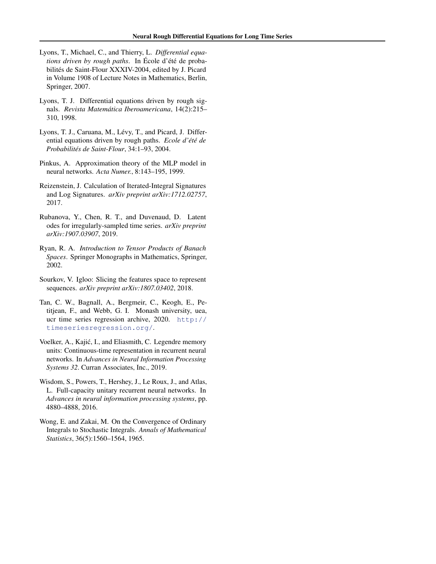- <span id="page-9-0"></span>Lyons, T., Michael, C., and Thierry, L. *Differential equations driven by rough paths.* In Ecole d'été de probabilités de Saint-Flour XXXIV-2004, edited by J. Picard in Volume 1908 of Lecture Notes in Mathematics, Berlin, Springer, 2007.
- Lyons, T. J. Differential equations driven by rough signals. *Revista Matemática Iberoamericana*, 14(2):215– 310, 1998.
- Lyons, T. J., Caruana, M., Lévy, T., and Picard, J. Differential equations driven by rough paths. *Ecole d'été de Probabilites de Saint-Flour ´* , 34:1–93, 2004.
- Pinkus, A. Approximation theory of the MLP model in neural networks. *Acta Numer.*, 8:143–195, 1999.
- Reizenstein, J. Calculation of Iterated-Integral Signatures and Log Signatures. *arXiv preprint arXiv:1712.02757*, 2017.
- Rubanova, Y., Chen, R. T., and Duvenaud, D. Latent odes for irregularly-sampled time series. *arXiv preprint arXiv:1907.03907*, 2019.
- Ryan, R. A. *Introduction to Tensor Products of Banach Spaces*. Springer Monographs in Mathematics, Springer, 2002.
- Sourkov, V. Igloo: Slicing the features space to represent sequences. *arXiv preprint arXiv:1807.03402*, 2018.
- Tan, C. W., Bagnall, A., Bergmeir, C., Keogh, E., Petitjean, F., and Webb, G. I. Monash university, uea, ucr time series regression archive, 2020. [http://](http://timeseriesregression.org/) [timeseriesregression.org/](http://timeseriesregression.org/).
- Voelker, A., Kajić, I., and Eliasmith, C. Legendre memory units: Continuous-time representation in recurrent neural networks. In *Advances in Neural Information Processing Systems 32*. Curran Associates, Inc., 2019.
- Wisdom, S., Powers, T., Hershey, J., Le Roux, J., and Atlas, L. Full-capacity unitary recurrent neural networks. In *Advances in neural information processing systems*, pp. 4880–4888, 2016.
- Wong, E. and Zakai, M. On the Convergence of Ordinary Integrals to Stochastic Integrals. *Annals of Mathematical Statistics*, 36(5):1560–1564, 1965.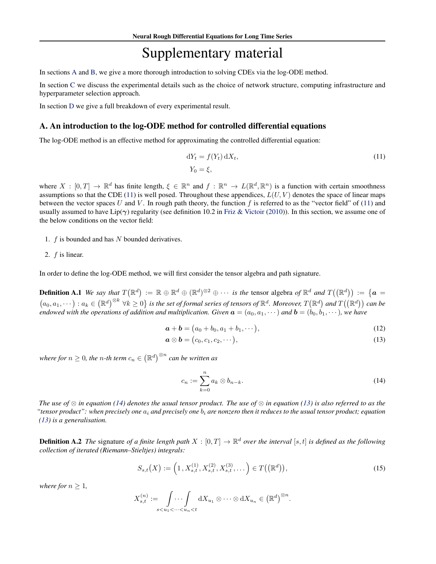# Supplementary material

<span id="page-10-0"></span>In sections A and [B,](#page-13-0) we give a more thorough introduction to solving CDEs via the log-ODE method.

In section [C](#page-16-0) we discuss the experimental details such as the choice of network structure, computing infrastructure and hyperparameter selection approach.

In section [D](#page-17-0) we give a full breakdown of every experimental result.

#### A. An introduction to the log-ODE method for controlled differential equations

The log-ODE method is an effective method for approximating the controlled differential equation:

$$
dY_t = f(Y_t) dX_t,
$$
  
\n
$$
Y_0 = \xi,
$$
\n(11)

where  $X : [0,T] \to \mathbb{R}^d$  has finite length,  $\xi \in \mathbb{R}^n$  and  $f : \mathbb{R}^n \to L(\mathbb{R}^d,\mathbb{R}^n)$  is a function with certain smoothness assumptions so that the CDE (11) is well posed. Throughout these appendices,  $L(U, V)$  denotes the space of linear maps between the vector spaces U and V. In rough path theory, the function f is referred to as the "vector field" of (11) and usually assumed to have Lip( $\gamma$ ) regularity (see definition 10.2 in [Friz & Victoir](#page-8-0) [\(2010\)](#page-8-0)). In this section, we assume one of the below conditions on the vector field:

- 1.  $f$  is bounded and has  $N$  bounded derivatives.
- 2. f is linear.

In order to define the log-ODE method, we will first consider the tensor algebra and path signature.

**Definition A.1** We say that  $T(\mathbb{R}^d) := \mathbb{R} \oplus \mathbb{R}^d \oplus (\mathbb{R}^d)^{\otimes 2} \oplus \cdots$  is the tensor algebra of  $\mathbb{R}^d$  and  $T((\mathbb{R}^d)) := \{a =$  $(a_0, a_1, \dots) : a_k \in (\mathbb{R}^d)^{\otimes k}$   $\forall k \geq 0$  *is the set of formal series of tensors of*  $\mathbb{R}^d$ . Moreover,  $T(\mathbb{R}^d)$  and  $T((\mathbb{R}^d))$  can be *endowed with the operations of addition and multiplication. Given*  $\mathbf{a} = (a_0, a_1, \dots)$  *and*  $\mathbf{b} = (b_0, b_1, \dots)$ *, we have* 

$$
\mathbf{a} + \mathbf{b} = (a_0 + b_0, a_1 + b_1, \cdots),
$$
 (12)

$$
\boldsymbol{a} \otimes \boldsymbol{b} = (c_0, c_1, c_2, \cdots), \tag{13}
$$

where for  $n\geq 0$ , the  $n$ -th term  $c_n\in\left(\mathbb{R}^d\right)^{\otimes n}$  can be written as

$$
c_n := \sum_{k=0}^n a_k \otimes b_{n-k}.\tag{14}
$$

*The use of* ⊗ *in equation (14) denotes the usual tensor product. The use of* ⊗ *in equation (13) is also referred to as the "tensor product": when precisely one* a<sup>i</sup> *and precisely one* b<sup>i</sup> *are nonzero then it reduces to the usual tensor product; equation (13) is a generalisation.*

**Definition A.2** The signature of a finite length path  $X : [0,T] \to \mathbb{R}^d$  over the interval  $[s,t]$  is defined as the following *collection of iterated (Riemann–Stieltjes) integrals:*

$$
S_{s,t}(X) := \left(1, X_{s,t}^{(1)}, X_{s,t}^{(2)}, X_{s,t}^{(3)}, \dots\right) \in T\big(\big(\mathbb{R}^d\big)\big),\tag{15}
$$

*where for*  $n \geq 1$ *,* 

$$
X_{s,t}^{(n)} := \int \cdots \int \limits_{s < u_1 < \cdots < u_n < t} dX_{u_1} \otimes \cdots \otimes dX_{u_n} \in (\mathbb{R}^d)^{\otimes n}.
$$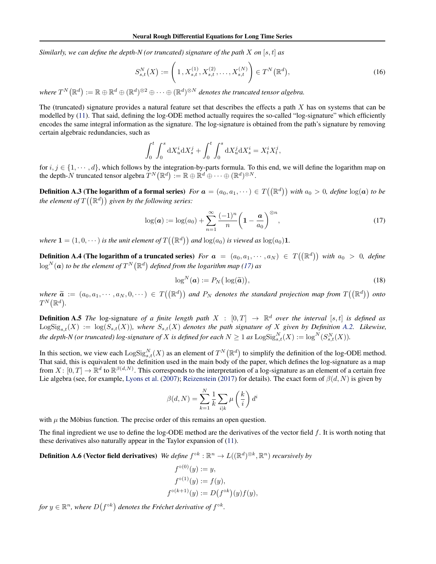<span id="page-11-0"></span>*Similarly, we can define the depth-N (or truncated) signature of the path* X on [s, t] as

$$
S_{s,t}^{N}(X) := \left(1, X_{s,t}^{(1)}, X_{s,t}^{(2)}, \dots, X_{s,t}^{(N)}\right) \in T^{N}(\mathbb{R}^{d}),\tag{16}
$$

where  $T^N(\mathbb{R}^d):=\mathbb{R}\oplus\mathbb{R}^d\oplus(\mathbb{R}^d)^{\otimes 2}\oplus\cdots\oplus(\mathbb{R}^d)^{\otimes N}$  denotes the truncated tensor algebra.

The (truncated) signature provides a natural feature set that describes the effects a path  $X$  has on systems that can be modelled by [\(11\)](#page-10-0). That said, defining the log-ODE method actually requires the so-called "log-signature" which efficiently encodes the same integral information as the signature. The log-signature is obtained from the path's signature by removing certain algebraic redundancies, such as

$$
\int_0^t \int_0^s \mathrm{d}X_u^i \mathrm{d}X_s^j + \int_0^t \int_0^s \mathrm{d}X_u^j \mathrm{d}X_s^i = X_t^i X_t^j,
$$

for  $i, j \in \{1, \dots, d\}$ , which follows by the integration-by-parts formula. To this end, we will define the logarithm map on the depth- $N$  truncated tensor algebra  $T^N(\mathbb{R}^d) := \mathbb{R} \oplus \mathbb{R}^d \oplus \cdots \oplus (\mathbb{R}^d)^{\otimes N}$ .

**Definition A.3 (The logarithm of a formal series)** For  $a = (a_0, a_1, \dots) \in T((\mathbb{R}^d))$  with  $a_0 > 0$ , define  $\log(a)$  to be the element of  $T((\mathbb{R}^d))$  given by the following series:

$$
\log(a) := \log(a_0) + \sum_{n=1}^{\infty} \frac{(-1)^n}{n} \left( 1 - \frac{a}{a_0} \right)^{\otimes n},\tag{17}
$$

where  $\mathbf{1} = (1, 0, \dots)$  is the unit element of  $T((\mathbb{R}^d))$  and  $\log(a_0)$  is viewed as  $\log(a_0) \mathbf{1}$ .

**Definition A.4 (The logarithm of a truncated series)** For  $a = (a_0, a_1, \dots, a_N) \in T((\mathbb{R}^d))$  with  $a_0 > 0$ , define  $\log^N({\boldsymbol{a}})$  to be the element of  $T^N(\mathbb{R}^d)$  defined from the logarithm map (17) as

$$
\log^N(\boldsymbol{a}) := P_N\big(\log(\widetilde{\boldsymbol{a}})\big),\tag{18}
$$

 $where \ \tilde{a} := (a_0, a_1, \dots, a_N, 0, \dots) \in T((\mathbb{R}^d))$  and  $P_N$  denotes the standard projection map from  $T((\mathbb{R}^d))$  onto  $T^N(\mathbb{R}^d)$ .

**Definition A.5** The log-signature of a finite length path  $X : [0,T] \to \mathbb{R}^d$  over the interval  $[s,t]$  is defined as  $\text{LogSig}_{s,t}(X) := \log(S_{s,t}(X))$ , where  $S_{s,t}(X)$  denotes the path signature of X given by Definition [A.2.](#page-10-0) Likewise, the depth-N (or truncated) log-signature of X is defined for each  $N\geq 1$  as  $\mathrm{LogSig}_{s,t}^N(X):=\log^N(S_{s,t}^N(X)).$ 

In this section, we view each  $\text{LogSig}_{s,t}^N(X)$  as an element of  $T^N(\mathbb{R}^d)$  to simplify the definition of the log-ODE method. That said, this is equivalent to the definition used in the main body of the paper, which defines the log-signature as a map from  $X: [0,T] \to \mathbb{R}^d$  to  $\mathbb{R}^{\beta(d,N)}$ . This corresponds to the interpretation of a log-signature as an element of a certain free Lie algebra (see, for example, [Lyons et al.](#page-9-0) [\(2007\)](#page-9-0); [Reizenstein](#page-9-0) [\(2017\)](#page-9-0) for details). The exact form of  $\beta(d, N)$  is given by

$$
\beta(d,N) = \sum_{k=1}^{N} \frac{1}{k} \sum_{i|k} \mu\left(\frac{k}{i}\right) d^{i}
$$

with  $\mu$  the Möbius function. The precise order of this remains an open question.

The final ingredient we use to define the log-ODE method are the derivatives of the vector field  $f$ . It is worth noting that these derivatives also naturally appear in the Taylor expansion of [\(11\)](#page-10-0).

**Definition A.6 (Vector field derivatives)** We define  $f^{\circ k} : \mathbb{R}^n \to L((\mathbb{R}^d)^{\otimes k}, \mathbb{R}^n)$  recursively by

$$
f^{\circ(0)}(y) := y,
$$
  
\n
$$
f^{\circ(1)}(y) := f(y),
$$
  
\n
$$
f^{\circ(k+1)}(y) := D(f^{\circ k})(y)f(y),
$$

for  $y \in \mathbb{R}^n$ , where  $D(f^{\circ k})$  denotes the Fréchet derivative of  $f^{\circ k}$ .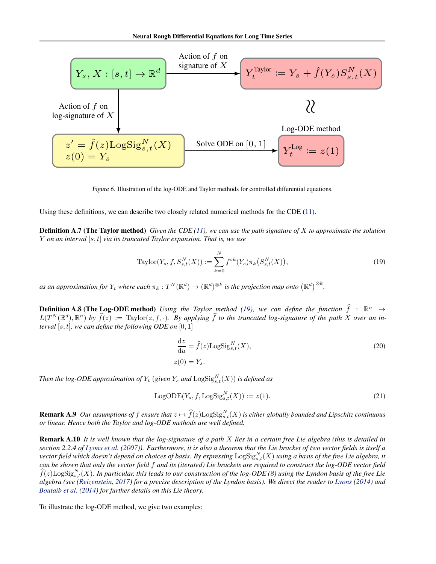<span id="page-12-0"></span>

Figure 6. Illustration of the log-ODE and Taylor methods for controlled differential equations.

Using these definitions, we can describe two closely related numerical methods for the CDE [\(11\)](#page-10-0).

Definition A.7 (The Taylor method) *Given the CDE [\(11\)](#page-10-0), we can use the path signature of* X *to approximate the solution* Y *on an interval* [s, t] *via its truncated Taylor expansion. That is, we use*

Taylor
$$
(Y_s, f, S_{s,t}^N(X)) := \sum_{k=0}^N f^{\circ k}(Y_s) \pi_k(S_{s,t}^N(X)),
$$
 (19)

as an approximation for  $Y_t$  where each  $\pi_k: T^N(\mathbb{R}^d) \to (\mathbb{R}^d)^{\otimes k}$  is the projection map onto  $(\mathbb{R}^d)^{\otimes k}.$ 

**Definition A.8 (The Log-ODE method)** Using the Taylor method (19), we can define the function  $\hat{f}$  :  $\mathbb{R}^n \to$  $L(T^N(\mathbb{R}^d), \mathbb{R}^n)$  by  $\widehat{f}(z) := \text{Taylor}(z, f, \cdot)$ . By applying  $\widehat{f}$  to the truncated log-signature of the path X over an in*terval* [s, t]*, we can define the following ODE on* [0, 1]

$$
\frac{\mathrm{d}z}{\mathrm{d}u} = \hat{f}(z) \mathrm{LogSig}_{s,t}^{N}(X),\tag{20}
$$
\n
$$
z(0) = Y_s.
$$

*Then the log-ODE approximation of*  $Y_t$  (given  $Y_s$  and  $\mathrm{LogSig}_{s,t}^N(X)$ ) is defined as

$$
LogODE(Y_s, f, LogSig_{s,t}^N(X)) := z(1).
$$
\n(21)

**Remark A.9** Our assumptions of f ensure that  $z \mapsto \widehat{f}(z) \text{LogSig}_{s,t}^N(X)$  is either globally bounded and Lipschitz continuous *or linear. Hence both the Taylor and log-ODE methods are well defined.*

Remark A.10 *It is well known that the log-signature of a path* X *lies in a certain free Lie algebra (this is detailed in section 2.2.4 of [Lyons et al.](#page-9-0) [\(2007\)](#page-9-0)). Furthermore, it is also a theorem that the Lie bracket of two vector fields is itself a* vector field which doesn't depend on choices of basis. By expressing  $\mathrm{LogSig}_{s,t}^N(X)$  using a basis of the free Lie algebra, it *can be shown that only the vector field* f *and its (iterated) Lie brackets are required to construct the log-ODE vector field*  $\widehat{f}(z)$ LogSig ${}_{s,t}^N(X)$ . In particular, this leads to our construction of the log-ODE  $(8)$  using the Lyndon basis of the free Lie *algebra (see [\(Reizenstein,](#page-9-0) [2017\)](#page-9-0) for a precise description of the Lyndon basis). We direct the reader to [Lyons](#page-8-0) [\(2014\)](#page-8-0) and [Boutaib et al.](#page-8-0) [\(2014\)](#page-8-0) for further details on this Lie theory.*

To illustrate the log-ODE method, we give two examples: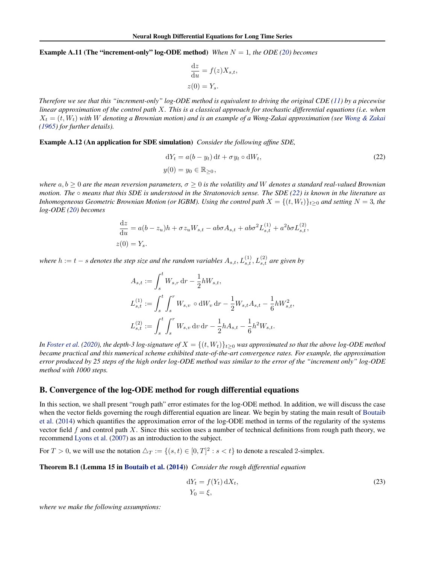#### <span id="page-13-0"></span>**Example A.11 (The "increment-only" log-ODE method)** *When*  $N = 1$ *, the ODE [\(20\)](#page-12-0) becomes*

$$
\frac{\mathrm{d}z}{\mathrm{d}u} = f(z)X_{s,t},
$$
  

$$
z(0) = Y_s.
$$

*Therefore we see that this "increment-only" log-ODE method is equivalent to driving the original CDE [\(11\)](#page-10-0) by a piecewise linear approximation of the control path* X*. This is a classical approach for stochastic differential equations (i.e. when* X<sup>t</sup> = (t, Wt) *with* W *denoting a Brownian motion) and is an example of a Wong-Zakai approximation (see [Wong & Zakai](#page-9-0) [\(1965\)](#page-9-0) for further details).*

Example A.12 (An application for SDE simulation) *Consider the following affine SDE,*

$$
dY_t = a(b - y_t) dt + \sigma y_t \circ dW_t,
$$
  
\n
$$
y(0) = y_0 \in \mathbb{R}_{\geq 0},
$$
\n(22)

*where*  $a, b \ge 0$  *are the mean reversion parameters,*  $\sigma \ge 0$  *is the volatility and* W *denotes a standard real-valued Brownian motion. The* ◦ *means that this SDE is understood in the Stratonovich sense. The SDE (22) is known in the literature as Inhomogeneous Geometric Brownian Motion (or IGBM). Using the control path*  $X = \{(t, W_t)\}_{t>0}$  *and setting*  $N = 3$ *, the log-ODE [\(20\)](#page-12-0) becomes*

$$
\frac{dz}{du} = a(b - z_u)h + \sigma z_u W_{s,t} - ab\sigma A_{s,t} + ab\sigma^2 L_{s,t}^{(1)} + a^2 b\sigma L_{s,t}^{(2)},
$$
  

$$
z(0) = Y_s.
$$

where  $h := t - s$  denotes the step size and the random variables  $A_{s,t}, L_{s,t}^{(1)}, L_{s,t}^{(2)}$  are given by

$$
A_{s,t} := \int_s^t W_{s,r} dr - \frac{1}{2} h W_{s,t},
$$
  
\n
$$
L_{s,t}^{(1)} := \int_s^t \int_s^r W_{s,v} \circ dW_v dr - \frac{1}{2} W_{s,t} A_{s,t} - \frac{1}{6} h W_{s,t}^2,
$$
  
\n
$$
L_{s,t}^{(2)} := \int_s^t \int_s^r W_{s,v} dv dr - \frac{1}{2} h A_{s,t} - \frac{1}{6} h^2 W_{s,t}.
$$

*In [Foster et al.](#page-8-0)* [\(2020\)](#page-8-0), the depth-3 log-signature of  $X = \{(t, W_t)\}_{t>0}$  was approximated so that the above log-ODE method *became practical and this numerical scheme exhibited state-of-the-art convergence rates. For example, the approximation error produced by 25 steps of the high order log-ODE method was similar to the error of the "increment only" log-ODE method with 1000 steps.*

#### B. Convergence of the log-ODE method for rough differential equations

In this section, we shall present "rough path" error estimates for the log-ODE method. In addition, we will discuss the case when the vector fields governing the rough differential equation are linear. We begin by stating the main result of [Boutaib](#page-8-0) [et al.](#page-8-0) [\(2014\)](#page-8-0) which quantifies the approximation error of the log-ODE method in terms of the regularity of the systems vector field f and control path X. Since this section uses a number of technical definitions from rough path theory, we recommend [Lyons et al.](#page-9-0) [\(2007\)](#page-9-0) as an introduction to the subject.

For  $T > 0$ , we will use the notation  $\Delta_T := \{(s, t) \in [0, T]^2 : s < t\}$  to denote a rescaled 2-simplex.

Theorem B.1 (Lemma 15 in [Boutaib et al.](#page-8-0) [\(2014\)](#page-8-0)) *Consider the rough differential equation*

$$
dY_t = f(Y_t) dX_t,
$$
  
\n
$$
Y_0 = \xi,
$$
\n(23)

*where we make the following assumptions:*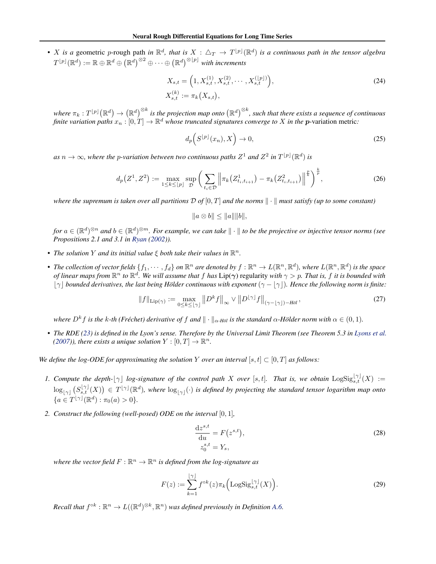<span id="page-14-0"></span>• X is a geometric p-rough path in  $\mathbb{R}^d$ , that is  $X : \triangle_T \to T^{\lfloor p \rfloor}(\mathbb{R}^d)$  is a continuous path in the tensor algebra  $T^{\lfloor p\rfloor}(\mathbb{R}^d) := \mathbb{R} \oplus \mathbb{R}^d \oplus \left(\mathbb{R}^d\right)^{\otimes 2} \oplus \cdots \oplus \left(\mathbb{R}^d\right)^{\otimes \lfloor p\rfloor}$  with increments

$$
X_{s,t} = \left(1, X_{s,t}^{(1)}, X_{s,t}^{(2)}, \cdots, X_{s,t}^{(\lfloor p \rfloor)}\right),
$$
  
\n
$$
X_{s,t}^{(k)} := \pi_k(X_{s,t}),
$$
\n(24)

where  $\pi_k:T^{\lfloor p\rfloor}(\R^d)\to\left(\R^d\right)^{\otimes k}$  is the projection map onto  $\left(\R^d\right)^{\otimes k}$ , such that there exists a sequence of continuous *finite variation paths*  $x_n : [0, T] \to \mathbb{R}^d$  *whose truncated signatures converge to* X *in the p*-variation metric:

$$
d_p\left(S^{\lfloor p\rfloor}(x_n), X\right) \to 0,\tag{25}
$$

as  $n \to \infty$ , where the p-variation between two continuous paths  $Z^1$  and  $Z^2$  in  $T^{\lfloor p \rfloor}({\mathbb{R}}^d)$  is

$$
d_p(Z^1, Z^2) := \max_{1 \le k \le \lfloor p \rfloor} \sup_{\mathcal{D}} \left( \sum_{t_i \in \mathcal{D}} \left\| \pi_k(Z^1_{t_i, t_{i+1}}) - \pi_k(Z^2_{t_i, t_{i+1}}) \right\|^{\frac{p}{k}} \right)^{\frac{k}{p}},\tag{26}
$$

*where the supremum is taken over all partitions*  $\mathcal{D}$  *of*  $[0, T]$  *and the norms*  $\|\cdot\|$  *must satisfy (up to some constant)* 

$$
||a \otimes b|| \le ||a|| ||b||,
$$

 $for\ a\in(\mathbb R^d)^{\otimes n}$  and  $b\in(\mathbb R^d)^{\otimes m}.$  For example, we can take  $\|\cdot\|$  to be the projective or injective tensor norms (see *Propositions 2.1 and 3.1 in [Ryan](#page-9-0) [\(2002\)](#page-9-0)).*

- The solution Y and its initial value  $\xi$  both take their values in  $\mathbb{R}^n$ .
- The collection of vector fields  $\{f_1,\cdots,f_d\}$  on  $\mathbb{R}^n$  are denoted by  $f:\mathbb{R}^n\to L(\mathbb{R}^n,\mathbb{R}^d)$ , where  $L(\mathbb{R}^n,\mathbb{R}^d)$  is the space *of linear maps from*  $\mathbb{R}^n$  *to*  $\mathbb{R}^d$ . We will assume that  $f$  has  $Lip(\gamma)$  regularity with  $\gamma > p$ . That is,  $f$  it is bounded with  $|\gamma|$  bounded derivatives, the last being Hölder continuous with exponent  $(\gamma - |\gamma|)$ . Hence the following norm is finite:

$$
||f||_{\text{Lip}(\gamma)} := \max_{0 \le k \le \lfloor \gamma \rfloor} ||D^k f||_{\infty} \vee ||D^{\lfloor \gamma \rfloor} f||_{(\gamma - \lfloor \gamma \rfloor) - H\ddot{o}l},\tag{27}
$$

*where*  $D^k f$  is the k-th (Fréchet) derivative of  $f$  and  $\|\cdot\|_{\alpha\text{-H\"{o}l}}$  is the standard  $\alpha$ -Hölder norm with  $\alpha\in(0,1)$ .

• *The RDE [\(23\)](#page-13-0) is defined in the Lyon's sense. Therefore by the Universal Limit Theorem (see Theorem 5.3 in [Lyons et al.](#page-9-0) [\(2007\)](#page-9-0)), there exists a unique solution*  $Y : [0, T] \rightarrow \mathbb{R}^n$ *.* 

*We define the log-ODE for approximating the solution* Y *over an interval*  $[s, t] \subset [0, T]$  *as follows:* 

- *1. Compute the depth-* $[\gamma]$  *log-signature of the control path* X *over* [s, t]. That is, we obtain  $\text{LogSig}_{s,t}^{[\gamma]}(X) :=$  $\log_{\lfloor\gamma\rfloor}(S^{[\gamma]}_{s,t}(X)) \in T^{\lfloor\gamma\rfloor}(\mathbb{R}^d)$ , where  $\log_{\lfloor\gamma\rfloor}(\cdot)$  is defined by projecting the standard tensor logarithm map onto  ${a \in T^{\lfloor \gamma \rfloor}(\mathbb{R}^d) : \pi_0(a) > 0}.$
- *2. Construct the following (well-posed) ODE on the interval* [0, 1]*,*

$$
\frac{\mathrm{d}z^{s,t}}{\mathrm{d}u} = F(z^{s,t}),
$$
  
\n
$$
z_0^{s,t} = Y_s,
$$
\n(28)

where the vector field  $F: \mathbb{R}^n \to \mathbb{R}^n$  is defined from the log-signature as

$$
F(z) := \sum_{k=1}^{\lfloor \gamma \rfloor} f^{\circ k}(z) \pi_k \left( \mathrm{LogSig}_{s,t}^{\lfloor \gamma \rfloor}(X) \right). \tag{29}
$$

*Recall that*  $f^{\circ k} : \mathbb{R}^n \to L((\mathbb{R}^d)^{\otimes k}, \mathbb{R}^n)$  *was defined previously in Definition [A.6.](#page-11-0)*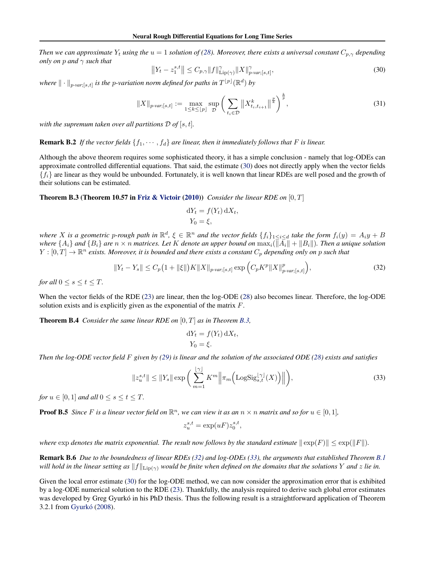<span id="page-15-0"></span>*Then we can approximate*  $Y_t$  *using the*  $u = 1$  *solution of [\(28\)](#page-14-0). Moreover, there exists a universal constant*  $C_{p,\gamma}$  *depending only on* p *and* γ *such that*

$$
||Y_t - z_1^{s,t}|| \le C_{p,\gamma} ||f||_{\text{Lip}(\gamma)}^{\gamma} ||X||_{p\text{-}var;[s,t]}^{\gamma},\tag{30}
$$

where  $\|\cdot\|_{p\text{-}\text{var};[s,t]}$  is the p-variation norm defined for paths in  $T^{\lfloor p\rfloor}(\mathbb{R}^d)$  by

$$
||X||_{p\text{-}\text{var};[s,t]} := \max_{1 \le k \le \lfloor p \rfloor} \sup_{\mathcal{D}} \left( \sum_{t_i \in \mathcal{D}} ||X^k_{t_i, t_{i+1}}||^{\frac{p}{k}} \right)^{\frac{k}{p}},\tag{31}
$$

*with the supremum taken over all partitions*  $\mathcal{D}$  *of* [s, t].

## **Remark B.2** If the vector fields  $\{f_1, \dots, f_d\}$  are linear, then it immediately follows that F is linear.

Although the above theorem requires some sophisticated theory, it has a simple conclusion - namely that log-ODEs can approximate controlled differential equations. That said, the estimate (30) does not directly apply when the vector fields  ${f_i}$  are linear as they would be unbounded. Fortunately, it is well known that linear RDEs are well posed and the growth of their solutions can be estimated.

Theorem B.3 (Theorem 10.57 in [Friz & Victoir](#page-8-0) [\(2010\)](#page-8-0)) *Consider the linear RDE on* [0, T]

$$
dY_t = f(Y_t) dX_t,
$$
  

$$
Y_0 = \xi,
$$

where X is a geometric p-rough path in  $\mathbb{R}^d$ ,  $\xi \in \mathbb{R}^n$  and the vector fields  $\{f_i\}_{1\leq i\leq d}$  take the form  $f_i(y)=A_iy+B_i$ *where*  $\{A_i\}$  *and*  $\{B_i\}$  *are*  $n \times n$  *matrices. Let* K *denote an upper bound on*  $\max_i(\|\overline{A}_i\| + \|B_i\|)$ *. Then a unique solution*  $Y:[0,T]\to\mathbb{R}^n$  exists. Moreover, it is bounded and there exists a constant  $C_p$  depending only on p such that

$$
||Y_t - Y_s|| \le C_p \left(1 + ||\xi||\right) K ||X||_{p\text{-}var;[s,t]} \exp\left(C_p K^p ||X||_{p\text{-}var;[s,t]}^p\right),\tag{32}
$$

*for all*  $0 \leq s \leq t \leq T$ *.* 

When the vector fields of the RDE [\(23\)](#page-13-0) are linear, then the log-ODE [\(28\)](#page-14-0) also becomes linear. Therefore, the log-ODE solution exists and is explicitly given as the exponential of the matrix  $F$ .

Theorem B.4 *Consider the same linear RDE on* [0, T] *as in Theorem B.3,*

$$
dY_t = f(Y_t) dX_t,
$$
  

$$
Y_0 = \xi.
$$

*Then the log-ODE vector field* F *given by [\(29\)](#page-14-0) is linear and the solution of the associated ODE [\(28\)](#page-14-0) exists and satisfies*

$$
||z_{u}^{s,t}|| \le ||Y_s|| \exp\bigg(\sum_{m=1}^{\lfloor \gamma \rfloor} K^m \Big\|\pi_m\Big(\text{LogSig}_{s,t}^{\lfloor \gamma \rfloor}(X)\Big)\Big\|\bigg),\tag{33}
$$

*for*  $u \in [0, 1]$  *and all*  $0 \le s \le t \le T$ *.* 

**Proof B.5** Since F is a linear vector field on  $\mathbb{R}^n$ , we can view it as an  $n \times n$  matrix and so for  $u \in [0,1]$ ,

$$
z_u^{s,t} = \exp(uF) z_0^{s,t},
$$

*where*  $\exp$  *denotes the matrix exponential. The result now follows by the standard estimate*  $\|\exp(F)\| \leq \exp(\|F\|)$ *.* 

Remark B.6 *Due to the boundedness of linear RDEs (32) and log-ODEs (33), the arguments that established Theorem [B.1](#page-13-0) will hold in the linear setting as*  $||f||_{\text{Lip}(\gamma)}$  *would be finite when defined on the domains that the solutions* Y *and* z *lie in.* 

Given the local error estimate (30) for the log-ODE method, we can now consider the approximation error that is exhibited by a log-ODE numerical solution to the RDE [\(23\)](#page-13-0). Thankfully, the analysis required to derive such global error estimates was developed by Greg Gyurkó in his PhD thesis. Thus the following result is a straightforward application of Theorem 3.2.1 from Gyurkó [\(2008\)](#page-8-0).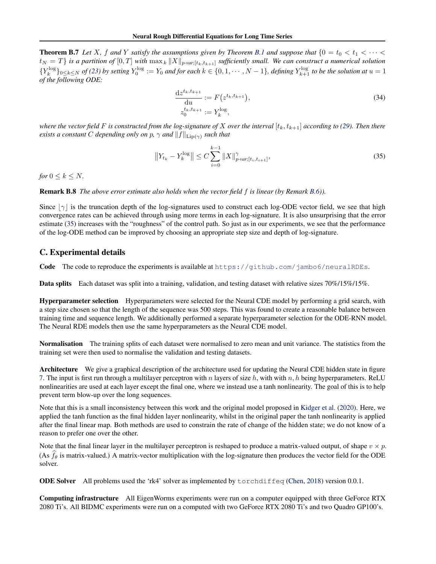<span id="page-16-0"></span>**Theorem B.7** Let X, f and Y satisfy the assumptions given by Theorem [B.1](#page-13-0) and suppose that  $\{0 = t_0 < t_1 < \cdots <$  $t_N = T$  *is a partition of*  $[0, T]$  *with*  $\max_k ||X||_{p\text{-}var;[t_k, t_{k+1}]}$  *sufficiently small. We can construct a numerical solution*  ${Y_k^{\log}}_{0 \leq k \leq N}$  *of [\(23\)](#page-13-0)* by setting  $Y_0^{\log} := Y_0$  and for each  $k \in \{0, 1, \cdots, N-1\}$ , defining  $Y_{k+1}^{\log}$  to be the solution at  $u = 1$ *of the following ODE:*

$$
\frac{\mathrm{d}z^{t_k, t_{k+1}}}{\mathrm{d}u} := F(z^{t_k, t_{k+1}}),
$$
\n
$$
z_0^{t_k, t_{k+1}} := Y_k^{\log},
$$
\n(34)

*where the vector field* F *is constructed from the log-signature of* X *over the interval*  $[t_k, t_{k+1}]$  *according to [\(29\)](#page-14-0). Then there exists a constant* C *depending only on* p,  $\gamma$  *and*  $||f||_{\text{Lip}(\gamma)}$  *such that* 

$$
\left\|Y_{t_k} - Y_k^{\log}\right\| \le C \sum_{i=0}^{k-1} \|X\|_{p\text{-}\text{var};[t_i,t_{i+1}]}^{\gamma},\tag{35}
$$

*for*  $0 \leq k \leq N$ *.* 

Remark B.8 *The above error estimate also holds when the vector field* f *is linear (by Remark [B.6\)](#page-15-0)).*

Since  $|\gamma|$  is the truncation depth of the log-signatures used to construct each log-ODE vector field, we see that high convergence rates can be achieved through using more terms in each log-signature. It is also unsurprising that the error estimate (35) increases with the "roughness" of the control path. So just as in our experiments, we see that the performance of the log-ODE method can be improved by choosing an appropriate step size and depth of log-signature.

## C. Experimental details

Code The code to reproduce the experiments is available at <https://github.com/jambo6/neuralRDEs>.

Data splits Each dataset was split into a training, validation, and testing dataset with relative sizes 70%/15%/15%.

Hyperparameter selection Hyperparameters were selected for the Neural CDE model by performing a grid search, with a step size chosen so that the length of the sequence was 500 steps. This was found to create a reasonable balance between training time and sequence length. We additionally performed a separate hyperparameter selection for the ODE-RNN model. The Neural RDE models then use the same hyperparameters as the Neural CDE model.

Normalisation The training splits of each dataset were normalised to zero mean and unit variance. The statistics from the training set were then used to normalise the validation and testing datasets.

Architecture We give a graphical description of the architecture used for updating the Neural CDE hidden state in figure [7.](#page-17-0) The input is first run through a multilayer perceptron with n layers of size h, with with  $n, h$  being hyperparameters. ReLU nonlinearities are used at each layer except the final one, where we instead use a tanh nonlinearity. The goal of this is to help prevent term blow-up over the long sequences.

Note that this is a small inconsistency between this work and the original model proposed in [Kidger et al.](#page-8-0) [\(2020\)](#page-8-0). Here, we applied the tanh function as the final hidden layer nonlinearity, whilst in the original paper the tanh nonlinearity is applied after the final linear map. Both methods are used to constrain the rate of change of the hidden state; we do not know of a reason to prefer one over the other.

Note that the final linear layer in the multilayer perceptron is reshaped to produce a matrix-valued output, of shape  $v \times p$ . (As  $f_\theta$  is matrix-valued.) A matrix-vector multiplication with the log-signature then produces the vector field for the ODE solver.

ODE Solver All problems used the 'rk4' solver as implemented by torchdiffeq [\(Chen,](#page-8-0) [2018\)](#page-8-0) version 0.0.1.

Computing infrastructure All EigenWorms experiments were run on a computer equipped with three GeForce RTX 2080 Ti's. All BIDMC experiments were run on a computed with two GeForce RTX 2080 Ti's and two Quadro GP100's.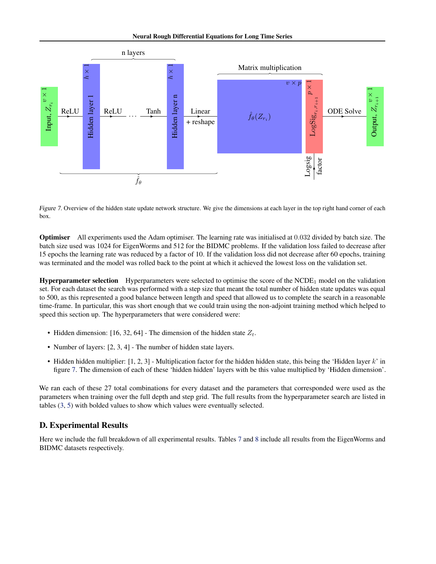<span id="page-17-0"></span>

Figure 7. Overview of the hidden state update network structure. We give the dimensions at each layer in the top right hand corner of each box.

Optimiser All experiments used the Adam optimiser. The learning rate was initialised at 0.032 divided by batch size. The batch size used was 1024 for EigenWorms and 512 for the BIDMC problems. If the validation loss failed to decrease after 15 epochs the learning rate was reduced by a factor of 10. If the validation loss did not decrease after 60 epochs, training was terminated and the model was rolled back to the point at which it achieved the lowest loss on the validation set.

**Hyperparameter selection** Hyperparameters were selected to optimise the score of the NCDE<sub>1</sub> model on the validation set. For each dataset the search was performed with a step size that meant the total number of hidden state updates was equal to 500, as this represented a good balance between length and speed that allowed us to complete the search in a reasonable time-frame. In particular, this was short enough that we could train using the non-adjoint training method which helped to speed this section up. The hyperparameters that were considered were:

- Hidden dimension: [16, 32, 64] The dimension of the hidden state  $Z_t$ .
- Number of layers: [2, 3, 4] The number of hidden state layers.
- Hidden hidden multiplier:  $[1, 2, 3]$  Multiplication factor for the hidden hidden state, this being the 'Hidden layer  $k$ ' in figure 7. The dimension of each of these 'hidden hidden' layers with be this value multiplied by 'Hidden dimension'.

We ran each of these 27 total combinations for every dataset and the parameters that corresponded were used as the parameters when training over the full depth and step grid. The full results from the hyperparameter search are listed in tables [\(3,](#page-18-0) [5\)](#page-19-0) with bolded values to show which values were eventually selected.

## D. Experimental Results

Here we include the full breakdown of all experimental results. Tables [7](#page-20-0) and [8](#page-21-0) include all results from the EigenWorms and BIDMC datasets respectively.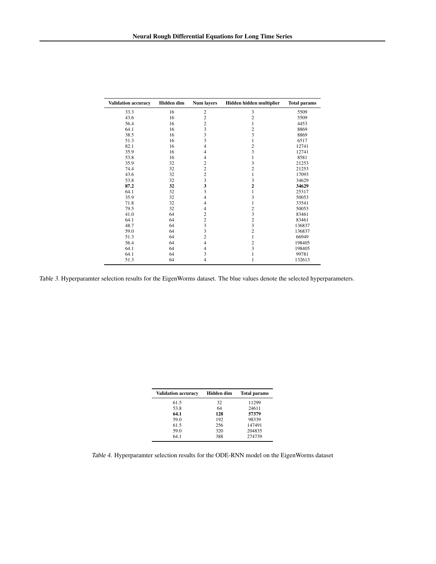<span id="page-18-0"></span>

| <b>Validation accuracy</b> | <b>Hidden</b> dim | <b>Num layers</b> | Hidden hidden multiplier | <b>Total params</b> |
|----------------------------|-------------------|-------------------|--------------------------|---------------------|
| 33.3                       | 16                | $\overline{c}$    | 3                        | 5509                |
| 43.6                       | 16                | $\overline{c}$    | $\overline{c}$           | 5509                |
| 56.4                       | 16                | $\overline{c}$    | 1                        | 4453                |
| 64.1                       | 16                | 3                 | $\overline{\mathbf{c}}$  | 8869                |
| 38.5                       | 16                | 3                 | $\overline{\mathbf{3}}$  | 8869                |
| 51.3                       | 16                | 3                 | 1                        | 6517                |
| 82.1                       | 16                | 4                 | $\overline{\mathbf{c}}$  | 12741               |
| 35.9                       | 16                | $\overline{4}$    | $\overline{\mathbf{3}}$  | 12741               |
| 53.8                       | 16                | 4                 | 1                        | 8581                |
| 35.9                       | 32                | $\overline{c}$    | 3                        | 21253               |
| 74.4                       | 32                | $\overline{c}$    | $\overline{c}$           | 21253               |
| 43.6                       | 32                | $\overline{c}$    | 1                        | 17093               |
| 53.8                       | 32                | 3                 | 3                        | 34629               |
| 87.2                       | 32                | 3                 | $\overline{c}$           | 34629               |
| 64.1                       | 32                | 3                 | 1                        | 25317               |
| 35.9                       | 32                | 4                 | 3                        | 50053               |
| 71.8                       | 32                | $\overline{4}$    | 1                        | 33541               |
| 79.5                       | 32                | 4                 | $\overline{c}$           | 50053               |
| 41.0                       | 64                | $\overline{c}$    | 3                        | 83461               |
| 64.1                       | 64                | $\overline{c}$    | $\overline{c}$           | 83461               |
| 48.7                       | 64                | 3                 | 3                        | 136837              |
| 59.0                       | 64                | 3                 | $\overline{c}$           | 136837              |
| 51.3                       | 64                | $\overline{2}$    | 1                        | 66949               |
| 56.4                       | 64                | $\overline{4}$    | $\overline{c}$           | 198405              |
| 64.1                       | 64                | $\overline{4}$    | 3                        | 198405              |
| 64.1                       | 64                | 3                 | 1                        | 99781               |
| 51.3                       | 64                | 4                 | 1                        | 132613              |

Table 3. Hyperparamter selection results for the EigenWorms dataset. The blue values denote the selected hyperparameters.

| <b>Validation accuracy</b> | Hidden dim | <b>Total params</b> |
|----------------------------|------------|---------------------|
| 61.5                       | 32         | 11299               |
| 53.8                       | 64         | 24611               |
| 64.1                       | 128        | 57379               |
| 59.0                       | 192        | 98339               |
| 61.5                       | 256        | 147491              |
| 59.0                       | 320        | 204835              |
| 64.1                       | 388        | 274739              |

Table 4. Hyperparamter selection results for the ODE-RNN model on the EigenWorms dataset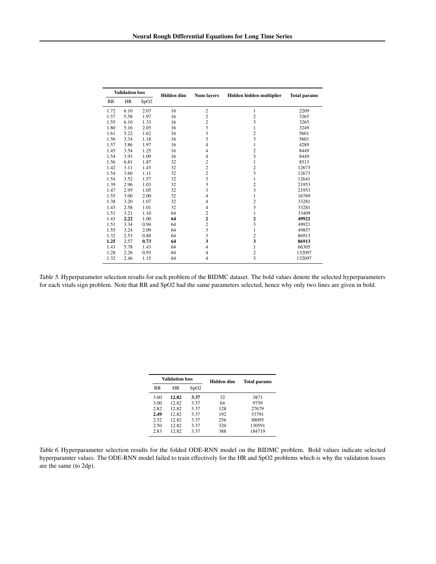<span id="page-19-0"></span>

| <b>Validation loss</b> |      | Hidden dim | <b>Num layers</b> | Hidden hidden multiplier | <b>Total params</b>     |        |
|------------------------|------|------------|-------------------|--------------------------|-------------------------|--------|
| RR                     | HR   | SpO2       |                   |                          |                         |        |
| 1.72                   | 6.10 | 2.07       | 16                | $\overline{c}$           | 1                       | 2209   |
| 1.57                   | 5.58 | 1.97       | 16                | $\overline{\mathbf{c}}$  | $\overline{\mathbf{c}}$ | 3265   |
| 1.55                   | 6.10 | 1.33       | 16                | $\overline{\mathbf{c}}$  | 3                       | 3265   |
| 1.80                   | 5.16 | 2.05       | 16                | 3                        | 1                       | 3249   |
| 1.61                   | 5.22 | 1.62       | 16                | 3                        | $\overline{\mathbf{c}}$ | 5601   |
| 1.56                   | 3.34 | 1.18       | 16                | 3                        | 3                       | 5601   |
| 1.57                   | 3.86 | 1.97       | 16                | 4                        | 1                       | 4289   |
| 1.45                   | 3.54 | 1.25       | 16                | 4                        | $\overline{c}$          | 8449   |
| 1.54                   | 3.93 | 1.09       | 16                | $\overline{4}$           | 3                       | 8449   |
| 1.56                   | 6.81 | 1.87       | 32                | $\overline{\mathbf{c}}$  | 1                       | 8513   |
| 1.42                   | 3.11 | 1.43       | 32                | $\overline{\mathbf{c}}$  | $\frac{2}{3}$           | 12673  |
| 1.54                   | 3.60 | 1.11       | 32                | $\overline{c}$           |                         | 12673  |
| 1.54                   | 3.52 | 1.57       | 32                | 3                        | 1                       | 12641  |
| 1.39                   | 2.96 | 1.03       | 32                | 3                        | $\overline{\mathbf{c}}$ | 21953  |
| 1.47                   | 2.95 | 1.05       | 32                | 3                        | 3                       | 21953  |
| 1.55                   | 3.00 | 2.00       | 32                | 4                        | 1                       | 16769  |
| 1.38                   | 3.20 | 1.07       | 32                | 4                        | $\overline{\mathbf{c}}$ | 33281  |
| 1.43                   | 2.58 | 1.01       | 32                | 4                        | 3                       | 33281  |
| 1.51                   | 3.21 | 1.10       | 64                | $\overline{c}$           | 1                       | 33409  |
| 1.43                   | 2.22 | 1.00       | 64                | $\overline{\mathbf{c}}$  | $\overline{\mathbf{c}}$ | 49921  |
| 1.51                   | 3.34 | 0.94       | 64                | $\overline{c}$           | 3                       | 49921  |
| 1.55                   | 3.24 | 2.09       | 64                | 3                        | 1                       | 49857  |
| 1.32                   | 2.53 | 0.88       | 64                | 3                        | $\overline{\mathbf{c}}$ | 86913  |
| 1.25                   | 2.57 | 0.73       | 64                | 3                        | $\overline{\mathbf{3}}$ | 86913  |
| 1.43                   | 5.78 | 1.43       | 64                | 4                        | 1                       | 66305  |
| 1.28                   | 2.26 | 0.93       | 64                | 4                        | $\overline{\mathbf{c}}$ | 132097 |
| 1.32                   | 2.46 | 1.15       | 64                | 4                        | 3                       | 132097 |

Table 5. Hyperparameter selection results for each problem of the BIDMC dataset. The bold values denote the selected hyperparameters for each vitals sign problem. Note that RR and SpO2 had the same parameters selected, hence why only two lines are given in bold.

| Validation loss |       |      | Hidden dim | Total params |  |  |
|-----------------|-------|------|------------|--------------|--|--|
| <b>RR</b>       | HR    | SpO2 |            |              |  |  |
| 3.00            | 12.82 | 3.37 | 32         | 3871         |  |  |
| 3.00            | 12.82 | 3.37 | 64         | 9759         |  |  |
| 2.82            | 12.82 | 3.37 | 128        | 27679        |  |  |
| 2.49            | 12.82 | 3.37 | 192        | 53791        |  |  |
| 2.52            | 12.82 | 3.37 | 256        | 88095        |  |  |
| 2.50            | 12.82 | 3.37 | 320        | 130591       |  |  |
| 2.83            | 12.82 | 3.37 | 388        | 184719       |  |  |

Table 6. Hyperparameter selection results for the folded ODE-RNN model on the BIDMC problem. Bold values indicate selected hyperparamter values. The ODE-RNN model failed to train effectively for the HR and SpO2 problems which is why the validation losses are the same (to 2dp).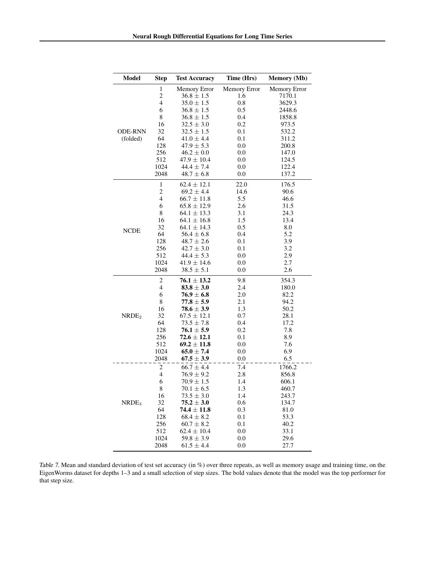<span id="page-20-0"></span>

| Model             | <b>Step</b>             | <b>Test Accuracy</b> | Time (Hrs)   | <b>Memory</b> (Mb) |
|-------------------|-------------------------|----------------------|--------------|--------------------|
|                   | $\mathbf{1}$            | Memory Error         | Memory Error | Memory Error       |
|                   | $\overline{c}$          | $36.8 \pm 1.5$       | 1.6          | 7170.1             |
|                   | 4                       | $35.0 \pm 1.5$       | 0.8          | 3629.3             |
|                   | 6                       | $36.8 \pm 1.5$       | 0.5          | 2448.6             |
|                   | 8                       | $36.8 \pm 1.5$       | 0.4          | 1858.8             |
|                   | 16                      | $32.5 \pm 3.0$       | 0.2          | 973.5              |
| <b>ODE-RNN</b>    | 32                      | $32.5 \pm 1.5$       | 0.1          | 532.2              |
| (folded)          | 64                      | $41.0 \pm 4.4$       | 0.1          | 311.2              |
|                   | 128                     | $47.9 \pm 5.3$       | 0.0          | 200.8              |
|                   | 256                     | $46.2 \pm 0.0$       | 0.0          | 147.0              |
|                   | 512                     | $47.9 \pm 10.4$      | 0.0          | 124.5              |
|                   | 1024                    | $44.4 \pm 7.4$       | 0.0          | 122.4              |
|                   | 2048                    | $48.7 \pm 6.8$       | 0.0          | 137.2              |
|                   | $\mathbf 1$             | $62.4 \pm 12.1$      | 22.0         | 176.5              |
|                   | $\overline{\mathbf{c}}$ | $69.2 \pm 4.4$       | 14.6         | 90.6               |
|                   | $\overline{4}$          | $66.7 \pm 11.8$      | 5.5          | 46.6               |
|                   | 6                       | $65.8 \pm 12.9$      | 2.6          | 31.5               |
|                   | 8                       | $64.1 \pm 13.3$      | 3.1          | 24.3               |
|                   |                         |                      |              |                    |
|                   | 16                      | $64.1 \pm 16.8$      | 1.5          | 13.4               |
| <b>NCDE</b>       | 32                      | $64.1 \pm 14.3$      | 0.5          | 8.0                |
|                   | 64                      | $56.4 \pm 6.8$       | 0.4          | 5.2                |
|                   | 128                     | $48.7 \pm 2.6$       | 0.1          | 3.9                |
|                   | 256                     | $42.7 \pm 3.0$       | 0.1          | 3.2                |
|                   | 512                     | $44.4 \pm 5.3$       | 0.0          | 2.9                |
|                   | 1024                    | $41.9 \pm 14.6$      | 0.0          | 2.7                |
|                   | 2048                    | $38.5 \pm 5.1$       | 0.0          | $2.6\,$            |
|                   | $\overline{c}$          | $76.1 \pm 13.2$      | 9.8          | 354.3              |
|                   | $\overline{4}$          | $83.8 \pm 3.0$       | 2.4          | 180.0              |
|                   | 6                       | $76.9 \pm 6.8$       | 2.0          | 82.2               |
|                   | 8                       | $77.8 \pm 5.9$       | 2.1          | 94.2               |
|                   | 16                      | $78.6 \pm 3.9$       | 1.3          | 50.2               |
| NRDE <sub>2</sub> | 32                      | $67.5 \pm 12.1$      | 0.7          | 28.1               |
|                   | 64                      | $73.5 \pm 7.8$       | 0.4          | 17.2               |
|                   | 128                     | $76.1 \pm 5.9$       | 0.2          | 7.8                |
|                   | 256                     | $72.6 \pm 12.1$      | 0.1          | 8.9                |
|                   | 512                     | $69.2 \pm 11.8$      | 0.0          | 7.6                |
|                   | 1024                    | $65.0 \pm 7.4$       | 0.0          | 6.9                |
|                   | 2048                    | $67.5 \pm 3.9$       | 0.0          | 6.5                |
|                   | $\overline{\mathbf{c}}$ | $66.7 \pm 4.4$       | 7.4          | 1766.2             |
|                   | $\overline{4}$          | $76.9 \pm 9.2$       | 2.8          | 856.8              |
|                   | 6                       | $70.9 \pm 1.5$       | 1.4          | 606.1              |
|                   | 8                       | $70.1 \pm 6.5$       | 1.3          | 460.7              |
|                   | 16                      | $73.5 \pm 3.0$       | 1.4          | 243.7              |
| NRDE <sub>3</sub> | 32                      | $75.2 \pm 3.0$       | 0.6          | 134.7              |
|                   | 64                      | $74.4 \pm 11.8$      | 0.3          | 81.0               |
|                   | 128                     | $68.4 \pm 8.2$       | 0.1          | 53.3               |
|                   | 256                     | $60.7 \pm 8.2$       | 0.1          | 40.2               |
|                   | 512                     | $62.4 \pm 10.4$      | 0.0          | 33.1               |
|                   | 1024                    | $59.8 \pm 3.9$       | 0.0          | 29.6               |
|                   | 2048                    | $61.5 \pm 4.4$       | 0.0          | 27.7               |

Table 7. Mean and standard deviation of test set accuracy (in %) over three repeats, as well as memory usage and training time, on the EigenWorms dataset for depths 1–3 and a small selection of step sizes. The bold values denote that the model was the top performer for that step size.